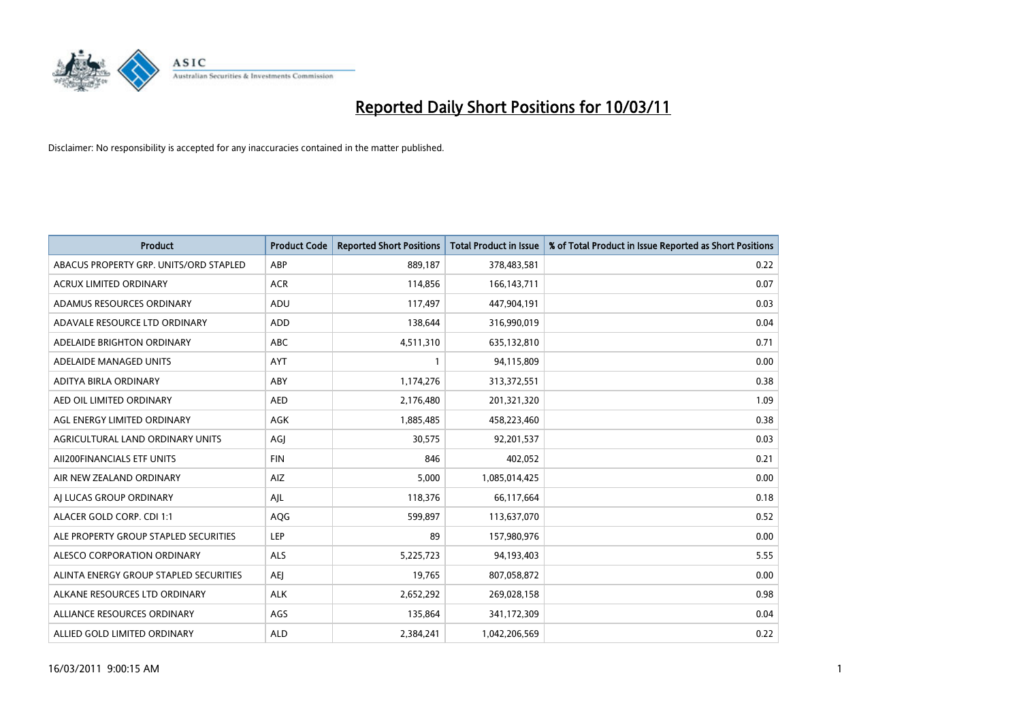

| <b>Product</b>                         | <b>Product Code</b> | <b>Reported Short Positions</b> | <b>Total Product in Issue</b> | % of Total Product in Issue Reported as Short Positions |
|----------------------------------------|---------------------|---------------------------------|-------------------------------|---------------------------------------------------------|
| ABACUS PROPERTY GRP. UNITS/ORD STAPLED | ABP                 | 889,187                         | 378,483,581                   | 0.22                                                    |
| ACRUX LIMITED ORDINARY                 | <b>ACR</b>          | 114,856                         | 166, 143, 711                 | 0.07                                                    |
| ADAMUS RESOURCES ORDINARY              | ADU                 | 117,497                         | 447,904,191                   | 0.03                                                    |
| ADAVALE RESOURCE LTD ORDINARY          | <b>ADD</b>          | 138,644                         | 316,990,019                   | 0.04                                                    |
| ADELAIDE BRIGHTON ORDINARY             | <b>ABC</b>          | 4,511,310                       | 635,132,810                   | 0.71                                                    |
| ADELAIDE MANAGED UNITS                 | <b>AYT</b>          |                                 | 94,115,809                    | 0.00                                                    |
| ADITYA BIRLA ORDINARY                  | ABY                 | 1,174,276                       | 313,372,551                   | 0.38                                                    |
| AED OIL LIMITED ORDINARY               | <b>AED</b>          | 2,176,480                       | 201,321,320                   | 1.09                                                    |
| AGL ENERGY LIMITED ORDINARY            | AGK                 | 1,885,485                       | 458,223,460                   | 0.38                                                    |
| AGRICULTURAL LAND ORDINARY UNITS       | AGJ                 | 30,575                          | 92,201,537                    | 0.03                                                    |
| AII200FINANCIALS ETF UNITS             | <b>FIN</b>          | 846                             | 402,052                       | 0.21                                                    |
| AIR NEW ZEALAND ORDINARY               | AIZ                 | 5,000                           | 1,085,014,425                 | 0.00                                                    |
| AI LUCAS GROUP ORDINARY                | AJL                 | 118,376                         | 66,117,664                    | 0.18                                                    |
| ALACER GOLD CORP. CDI 1:1              | AQG                 | 599,897                         | 113,637,070                   | 0.52                                                    |
| ALE PROPERTY GROUP STAPLED SECURITIES  | LEP                 | 89                              | 157,980,976                   | 0.00                                                    |
| ALESCO CORPORATION ORDINARY            | ALS                 | 5,225,723                       | 94,193,403                    | 5.55                                                    |
| ALINTA ENERGY GROUP STAPLED SECURITIES | <b>AEI</b>          | 19,765                          | 807,058,872                   | 0.00                                                    |
| ALKANE RESOURCES LTD ORDINARY          | <b>ALK</b>          | 2,652,292                       | 269,028,158                   | 0.98                                                    |
| ALLIANCE RESOURCES ORDINARY            | AGS                 | 135,864                         | 341,172,309                   | 0.04                                                    |
| ALLIED GOLD LIMITED ORDINARY           | <b>ALD</b>          | 2.384.241                       | 1,042,206,569                 | 0.22                                                    |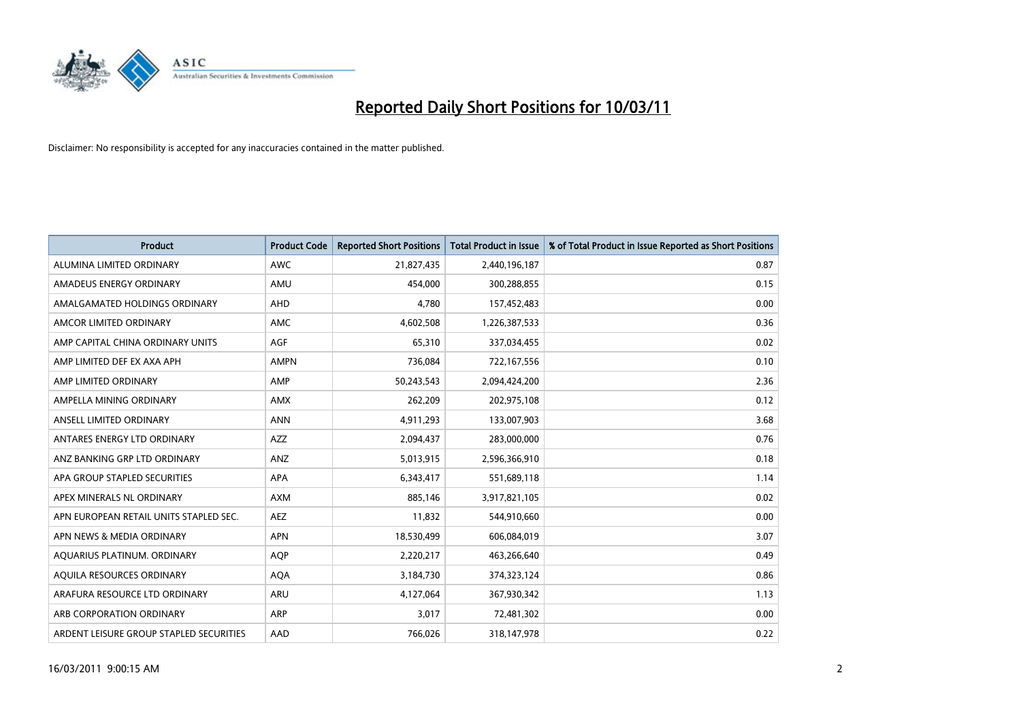

| <b>Product</b>                          | <b>Product Code</b> | <b>Reported Short Positions</b> | <b>Total Product in Issue</b> | % of Total Product in Issue Reported as Short Positions |
|-----------------------------------------|---------------------|---------------------------------|-------------------------------|---------------------------------------------------------|
| ALUMINA LIMITED ORDINARY                | <b>AWC</b>          | 21,827,435                      | 2,440,196,187                 | 0.87                                                    |
| AMADEUS ENERGY ORDINARY                 | AMU                 | 454.000                         | 300,288,855                   | 0.15                                                    |
| AMALGAMATED HOLDINGS ORDINARY           | <b>AHD</b>          | 4,780                           | 157,452,483                   | 0.00                                                    |
| AMCOR LIMITED ORDINARY                  | <b>AMC</b>          | 4,602,508                       | 1,226,387,533                 | 0.36                                                    |
| AMP CAPITAL CHINA ORDINARY UNITS        | <b>AGF</b>          | 65,310                          | 337,034,455                   | 0.02                                                    |
| AMP LIMITED DEF EX AXA APH              | <b>AMPN</b>         | 736,084                         | 722,167,556                   | 0.10                                                    |
| AMP LIMITED ORDINARY                    | AMP                 | 50,243,543                      | 2,094,424,200                 | 2.36                                                    |
| AMPELLA MINING ORDINARY                 | AMX                 | 262,209                         | 202,975,108                   | 0.12                                                    |
| ANSELL LIMITED ORDINARY                 | <b>ANN</b>          | 4,911,293                       | 133,007,903                   | 3.68                                                    |
| ANTARES ENERGY LTD ORDINARY             | <b>AZZ</b>          | 2,094,437                       | 283,000,000                   | 0.76                                                    |
| ANZ BANKING GRP LTD ORDINARY            | ANZ                 | 5,013,915                       | 2,596,366,910                 | 0.18                                                    |
| APA GROUP STAPLED SECURITIES            | APA                 | 6,343,417                       | 551,689,118                   | 1.14                                                    |
| APEX MINERALS NL ORDINARY               | <b>AXM</b>          | 885,146                         | 3,917,821,105                 | 0.02                                                    |
| APN EUROPEAN RETAIL UNITS STAPLED SEC.  | <b>AEZ</b>          | 11,832                          | 544,910,660                   | 0.00                                                    |
| APN NEWS & MEDIA ORDINARY               | <b>APN</b>          | 18,530,499                      | 606,084,019                   | 3.07                                                    |
| AQUARIUS PLATINUM. ORDINARY             | <b>AOP</b>          | 2,220,217                       | 463,266,640                   | 0.49                                                    |
| AQUILA RESOURCES ORDINARY               | <b>AQA</b>          | 3,184,730                       | 374,323,124                   | 0.86                                                    |
| ARAFURA RESOURCE LTD ORDINARY           | ARU                 | 4,127,064                       | 367,930,342                   | 1.13                                                    |
| ARB CORPORATION ORDINARY                | ARP                 | 3,017                           | 72,481,302                    | 0.00                                                    |
| ARDENT LEISURE GROUP STAPLED SECURITIES | AAD                 | 766.026                         | 318,147,978                   | 0.22                                                    |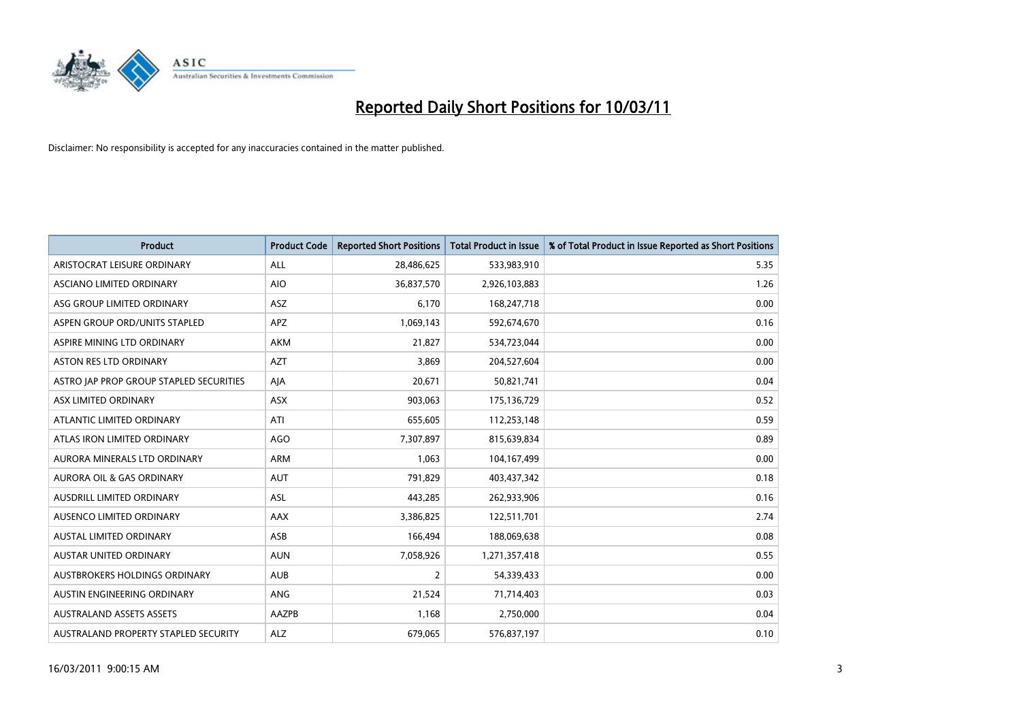

| <b>Product</b>                          | <b>Product Code</b> | <b>Reported Short Positions</b> | <b>Total Product in Issue</b> | % of Total Product in Issue Reported as Short Positions |
|-----------------------------------------|---------------------|---------------------------------|-------------------------------|---------------------------------------------------------|
| ARISTOCRAT LEISURE ORDINARY             | ALL                 | 28,486,625                      | 533,983,910                   | 5.35                                                    |
| ASCIANO LIMITED ORDINARY                | <b>AIO</b>          | 36,837,570                      | 2,926,103,883                 | 1.26                                                    |
| ASG GROUP LIMITED ORDINARY              | <b>ASZ</b>          | 6,170                           | 168,247,718                   | 0.00                                                    |
| ASPEN GROUP ORD/UNITS STAPLED           | <b>APZ</b>          | 1,069,143                       | 592,674,670                   | 0.16                                                    |
| ASPIRE MINING LTD ORDINARY              | <b>AKM</b>          | 21,827                          | 534,723,044                   | 0.00                                                    |
| ASTON RES LTD ORDINARY                  | <b>AZT</b>          | 3,869                           | 204,527,604                   | 0.00                                                    |
| ASTRO JAP PROP GROUP STAPLED SECURITIES | AJA                 | 20,671                          | 50,821,741                    | 0.04                                                    |
| ASX LIMITED ORDINARY                    | ASX                 | 903,063                         | 175,136,729                   | 0.52                                                    |
| ATLANTIC LIMITED ORDINARY               | ATI                 | 655,605                         | 112,253,148                   | 0.59                                                    |
| ATLAS IRON LIMITED ORDINARY             | <b>AGO</b>          | 7,307,897                       | 815,639,834                   | 0.89                                                    |
| AURORA MINERALS LTD ORDINARY            | <b>ARM</b>          | 1,063                           | 104,167,499                   | 0.00                                                    |
| <b>AURORA OIL &amp; GAS ORDINARY</b>    | <b>AUT</b>          | 791,829                         | 403,437,342                   | 0.18                                                    |
| AUSDRILL LIMITED ORDINARY               | ASL                 | 443,285                         | 262,933,906                   | 0.16                                                    |
| AUSENCO LIMITED ORDINARY                | AAX                 | 3,386,825                       | 122,511,701                   | 2.74                                                    |
| <b>AUSTAL LIMITED ORDINARY</b>          | ASB                 | 166,494                         | 188,069,638                   | 0.08                                                    |
| AUSTAR UNITED ORDINARY                  | <b>AUN</b>          | 7,058,926                       | 1,271,357,418                 | 0.55                                                    |
| AUSTBROKERS HOLDINGS ORDINARY           | <b>AUB</b>          | $\overline{2}$                  | 54,339,433                    | 0.00                                                    |
| AUSTIN ENGINEERING ORDINARY             | <b>ANG</b>          | 21,524                          | 71,714,403                    | 0.03                                                    |
| <b>AUSTRALAND ASSETS ASSETS</b>         | <b>AAZPB</b>        | 1,168                           | 2,750,000                     | 0.04                                                    |
| AUSTRALAND PROPERTY STAPLED SECURITY    | <b>ALZ</b>          | 679,065                         | 576,837,197                   | 0.10                                                    |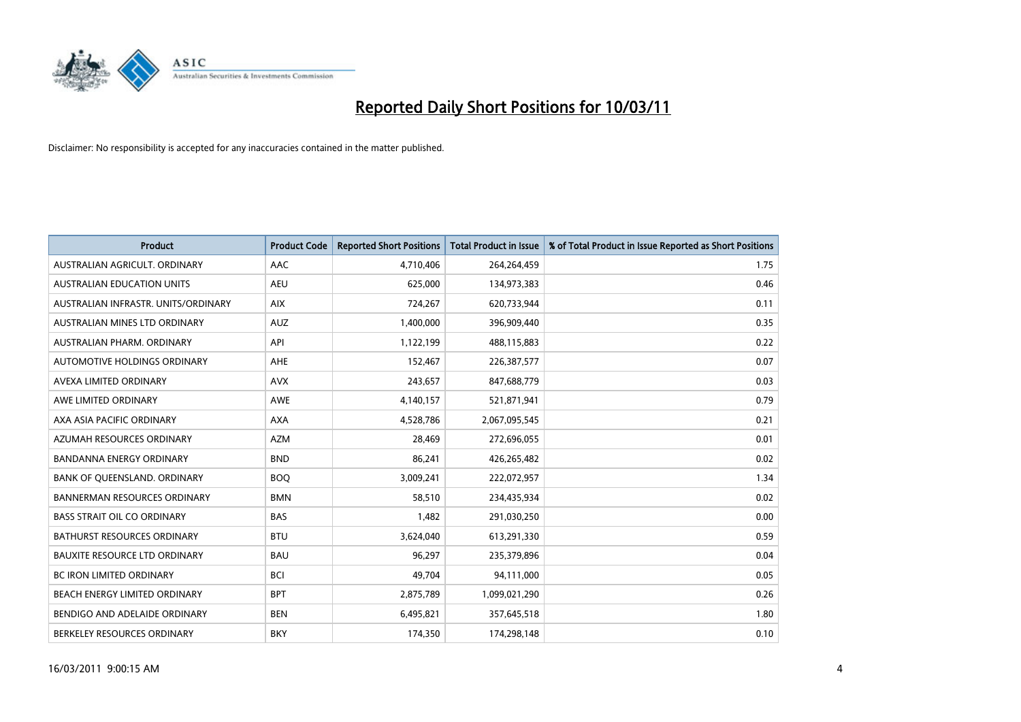

| <b>Product</b>                       | <b>Product Code</b> | <b>Reported Short Positions</b> | <b>Total Product in Issue</b> | % of Total Product in Issue Reported as Short Positions |
|--------------------------------------|---------------------|---------------------------------|-------------------------------|---------------------------------------------------------|
| AUSTRALIAN AGRICULT, ORDINARY        | AAC                 | 4,710,406                       | 264,264,459                   | 1.75                                                    |
| AUSTRALIAN EDUCATION UNITS           | <b>AEU</b>          | 625,000                         | 134,973,383                   | 0.46                                                    |
| AUSTRALIAN INFRASTR, UNITS/ORDINARY  | <b>AIX</b>          | 724,267                         | 620,733,944                   | 0.11                                                    |
| AUSTRALIAN MINES LTD ORDINARY        | <b>AUZ</b>          | 1,400,000                       | 396,909,440                   | 0.35                                                    |
| AUSTRALIAN PHARM, ORDINARY           | API                 | 1,122,199                       | 488,115,883                   | 0.22                                                    |
| AUTOMOTIVE HOLDINGS ORDINARY         | <b>AHE</b>          | 152,467                         | 226,387,577                   | 0.07                                                    |
| AVEXA LIMITED ORDINARY               | <b>AVX</b>          | 243,657                         | 847,688,779                   | 0.03                                                    |
| AWE LIMITED ORDINARY                 | <b>AWE</b>          | 4,140,157                       | 521,871,941                   | 0.79                                                    |
| AXA ASIA PACIFIC ORDINARY            | <b>AXA</b>          | 4,528,786                       | 2,067,095,545                 | 0.21                                                    |
| AZUMAH RESOURCES ORDINARY            | <b>AZM</b>          | 28,469                          | 272,696,055                   | 0.01                                                    |
| <b>BANDANNA ENERGY ORDINARY</b>      | <b>BND</b>          | 86,241                          | 426,265,482                   | 0.02                                                    |
| BANK OF QUEENSLAND. ORDINARY         | <b>BOQ</b>          | 3,009,241                       | 222,072,957                   | 1.34                                                    |
| <b>BANNERMAN RESOURCES ORDINARY</b>  | <b>BMN</b>          | 58,510                          | 234,435,934                   | 0.02                                                    |
| <b>BASS STRAIT OIL CO ORDINARY</b>   | <b>BAS</b>          | 1,482                           | 291,030,250                   | 0.00                                                    |
| <b>BATHURST RESOURCES ORDINARY</b>   | <b>BTU</b>          | 3,624,040                       | 613,291,330                   | 0.59                                                    |
| <b>BAUXITE RESOURCE LTD ORDINARY</b> | <b>BAU</b>          | 96,297                          | 235,379,896                   | 0.04                                                    |
| <b>BC IRON LIMITED ORDINARY</b>      | <b>BCI</b>          | 49,704                          | 94,111,000                    | 0.05                                                    |
| <b>BEACH ENERGY LIMITED ORDINARY</b> | <b>BPT</b>          | 2,875,789                       | 1,099,021,290                 | 0.26                                                    |
| BENDIGO AND ADELAIDE ORDINARY        | <b>BEN</b>          | 6,495,821                       | 357,645,518                   | 1.80                                                    |
| BERKELEY RESOURCES ORDINARY          | <b>BKY</b>          | 174,350                         | 174,298,148                   | 0.10                                                    |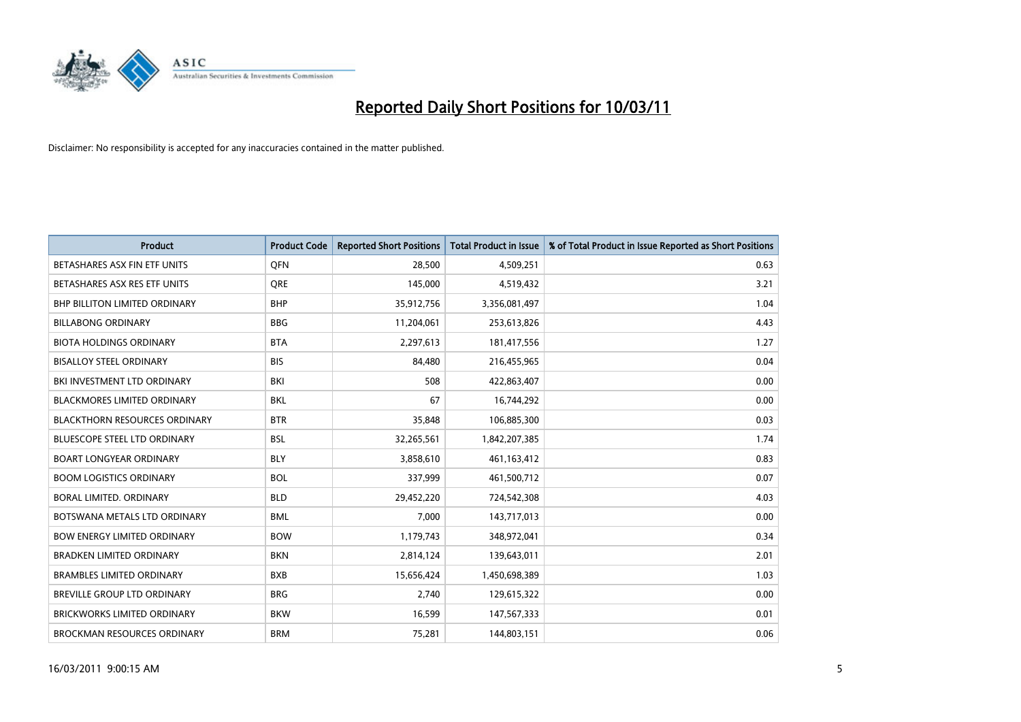

| <b>Product</b>                       | <b>Product Code</b> | <b>Reported Short Positions</b> | <b>Total Product in Issue</b> | % of Total Product in Issue Reported as Short Positions |
|--------------------------------------|---------------------|---------------------------------|-------------------------------|---------------------------------------------------------|
| BETASHARES ASX FIN ETF UNITS         | <b>OFN</b>          | 28,500                          | 4,509,251                     | 0.63                                                    |
| BETASHARES ASX RES ETF UNITS         | <b>ORE</b>          | 145,000                         | 4,519,432                     | 3.21                                                    |
| <b>BHP BILLITON LIMITED ORDINARY</b> | <b>BHP</b>          | 35,912,756                      | 3,356,081,497                 | 1.04                                                    |
| <b>BILLABONG ORDINARY</b>            | <b>BBG</b>          | 11,204,061                      | 253,613,826                   | 4.43                                                    |
| <b>BIOTA HOLDINGS ORDINARY</b>       | <b>BTA</b>          | 2,297,613                       | 181,417,556                   | 1.27                                                    |
| <b>BISALLOY STEEL ORDINARY</b>       | <b>BIS</b>          | 84,480                          | 216,455,965                   | 0.04                                                    |
| BKI INVESTMENT LTD ORDINARY          | <b>BKI</b>          | 508                             | 422,863,407                   | 0.00                                                    |
| <b>BLACKMORES LIMITED ORDINARY</b>   | <b>BKL</b>          | 67                              | 16,744,292                    | 0.00                                                    |
| <b>BLACKTHORN RESOURCES ORDINARY</b> | <b>BTR</b>          | 35,848                          | 106,885,300                   | 0.03                                                    |
| <b>BLUESCOPE STEEL LTD ORDINARY</b>  | <b>BSL</b>          | 32,265,561                      | 1,842,207,385                 | 1.74                                                    |
| <b>BOART LONGYEAR ORDINARY</b>       | <b>BLY</b>          | 3,858,610                       | 461,163,412                   | 0.83                                                    |
| <b>BOOM LOGISTICS ORDINARY</b>       | <b>BOL</b>          | 337,999                         | 461,500,712                   | 0.07                                                    |
| BORAL LIMITED, ORDINARY              | <b>BLD</b>          | 29,452,220                      | 724,542,308                   | 4.03                                                    |
| BOTSWANA METALS LTD ORDINARY         | <b>BML</b>          | 7,000                           | 143,717,013                   | 0.00                                                    |
| <b>BOW ENERGY LIMITED ORDINARY</b>   | <b>BOW</b>          | 1,179,743                       | 348,972,041                   | 0.34                                                    |
| BRADKEN LIMITED ORDINARY             | <b>BKN</b>          | 2,814,124                       | 139,643,011                   | 2.01                                                    |
| <b>BRAMBLES LIMITED ORDINARY</b>     | <b>BXB</b>          | 15,656,424                      | 1,450,698,389                 | 1.03                                                    |
| BREVILLE GROUP LTD ORDINARY          | <b>BRG</b>          | 2,740                           | 129,615,322                   | 0.00                                                    |
| <b>BRICKWORKS LIMITED ORDINARY</b>   | <b>BKW</b>          | 16,599                          | 147,567,333                   | 0.01                                                    |
| <b>BROCKMAN RESOURCES ORDINARY</b>   | <b>BRM</b>          | 75,281                          | 144,803,151                   | 0.06                                                    |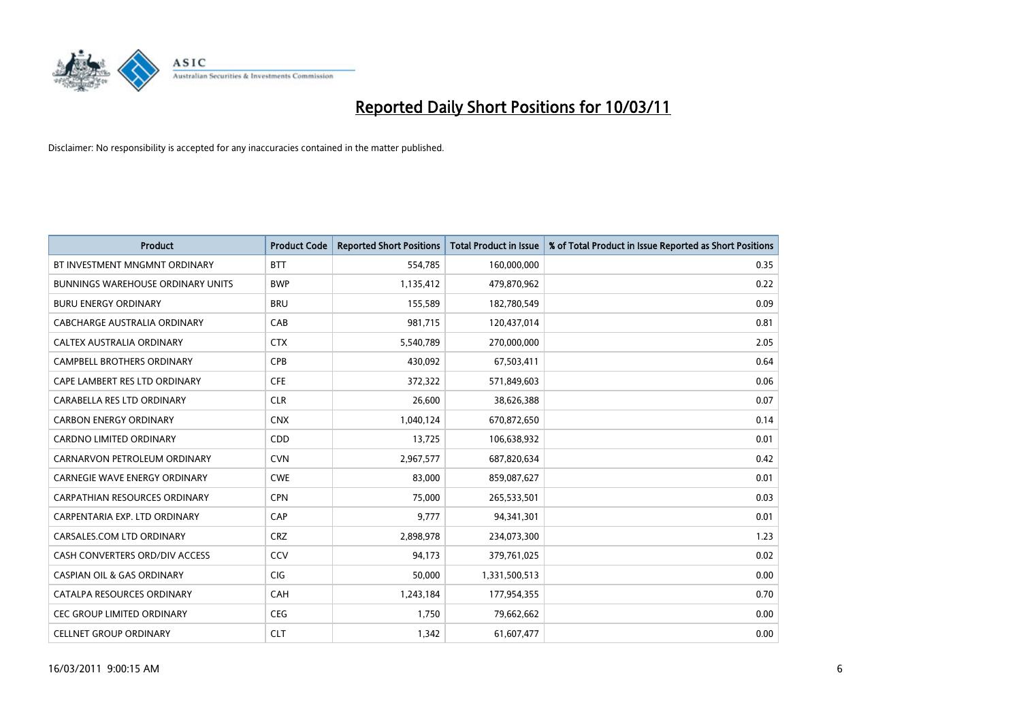

| <b>Product</b>                        | <b>Product Code</b> | <b>Reported Short Positions</b> | <b>Total Product in Issue</b> | % of Total Product in Issue Reported as Short Positions |
|---------------------------------------|---------------------|---------------------------------|-------------------------------|---------------------------------------------------------|
| BT INVESTMENT MNGMNT ORDINARY         | <b>BTT</b>          | 554,785                         | 160,000,000                   | 0.35                                                    |
| BUNNINGS WAREHOUSE ORDINARY UNITS     | <b>BWP</b>          | 1,135,412                       | 479,870,962                   | 0.22                                                    |
| <b>BURU ENERGY ORDINARY</b>           | <b>BRU</b>          | 155,589                         | 182,780,549                   | 0.09                                                    |
| CABCHARGE AUSTRALIA ORDINARY          | CAB                 | 981,715                         | 120,437,014                   | 0.81                                                    |
| CALTEX AUSTRALIA ORDINARY             | <b>CTX</b>          | 5,540,789                       | 270,000,000                   | 2.05                                                    |
| <b>CAMPBELL BROTHERS ORDINARY</b>     | <b>CPB</b>          | 430,092                         | 67,503,411                    | 0.64                                                    |
| CAPE LAMBERT RES LTD ORDINARY         | <b>CFE</b>          | 372,322                         | 571,849,603                   | 0.06                                                    |
| CARABELLA RES LTD ORDINARY            | <b>CLR</b>          | 26,600                          | 38,626,388                    | 0.07                                                    |
| <b>CARBON ENERGY ORDINARY</b>         | <b>CNX</b>          | 1,040,124                       | 670,872,650                   | 0.14                                                    |
| <b>CARDNO LIMITED ORDINARY</b>        | CDD                 | 13,725                          | 106,638,932                   | 0.01                                                    |
| CARNARVON PETROLEUM ORDINARY          | <b>CVN</b>          | 2,967,577                       | 687,820,634                   | 0.42                                                    |
| <b>CARNEGIE WAVE ENERGY ORDINARY</b>  | <b>CWE</b>          | 83,000                          | 859,087,627                   | 0.01                                                    |
| <b>CARPATHIAN RESOURCES ORDINARY</b>  | <b>CPN</b>          | 75,000                          | 265,533,501                   | 0.03                                                    |
| CARPENTARIA EXP. LTD ORDINARY         | CAP                 | 9,777                           | 94,341,301                    | 0.01                                                    |
| CARSALES.COM LTD ORDINARY             | <b>CRZ</b>          | 2,898,978                       | 234,073,300                   | 1.23                                                    |
| CASH CONVERTERS ORD/DIV ACCESS        | CCV                 | 94,173                          | 379,761,025                   | 0.02                                                    |
| <b>CASPIAN OIL &amp; GAS ORDINARY</b> | <b>CIG</b>          | 50,000                          | 1,331,500,513                 | 0.00                                                    |
| CATALPA RESOURCES ORDINARY            | CAH                 | 1,243,184                       | 177,954,355                   | 0.70                                                    |
| <b>CEC GROUP LIMITED ORDINARY</b>     | <b>CEG</b>          | 1,750                           | 79,662,662                    | 0.00                                                    |
| <b>CELLNET GROUP ORDINARY</b>         | <b>CLT</b>          | 1,342                           | 61,607,477                    | 0.00                                                    |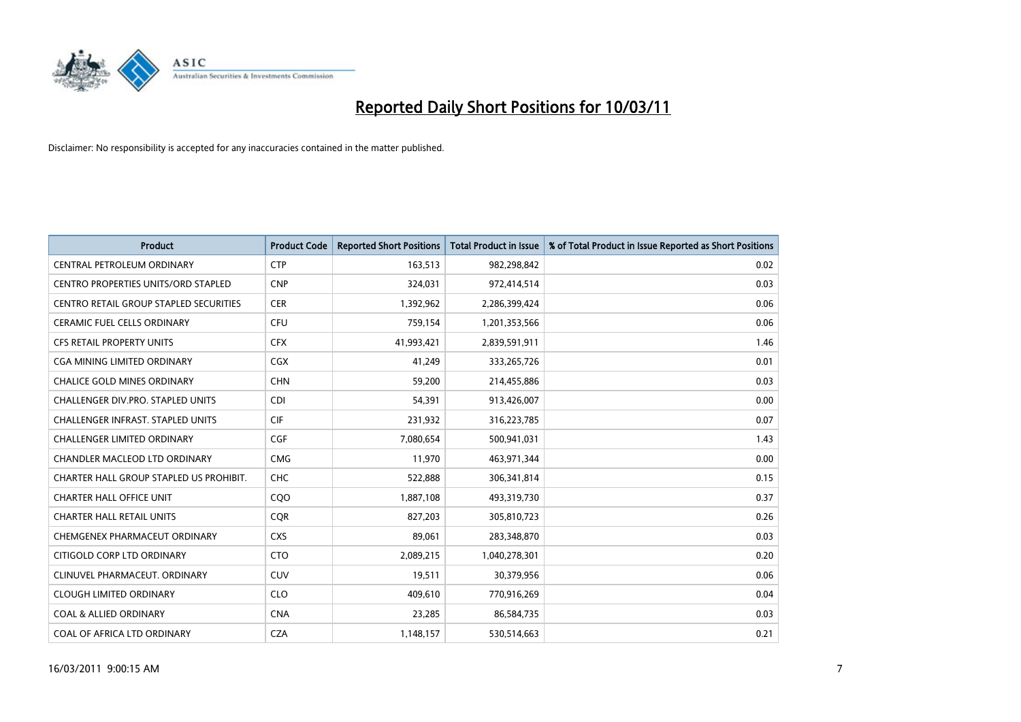

| <b>Product</b>                                | <b>Product Code</b> | <b>Reported Short Positions</b> | <b>Total Product in Issue</b> | % of Total Product in Issue Reported as Short Positions |
|-----------------------------------------------|---------------------|---------------------------------|-------------------------------|---------------------------------------------------------|
| CENTRAL PETROLEUM ORDINARY                    | <b>CTP</b>          | 163,513                         | 982,298,842                   | 0.02                                                    |
| <b>CENTRO PROPERTIES UNITS/ORD STAPLED</b>    | <b>CNP</b>          | 324,031                         | 972,414,514                   | 0.03                                                    |
| <b>CENTRO RETAIL GROUP STAPLED SECURITIES</b> | <b>CER</b>          | 1,392,962                       | 2,286,399,424                 | 0.06                                                    |
| CERAMIC FUEL CELLS ORDINARY                   | <b>CFU</b>          | 759,154                         | 1,201,353,566                 | 0.06                                                    |
| <b>CFS RETAIL PROPERTY UNITS</b>              | <b>CFX</b>          | 41,993,421                      | 2,839,591,911                 | 1.46                                                    |
| <b>CGA MINING LIMITED ORDINARY</b>            | <b>CGX</b>          | 41,249                          | 333,265,726                   | 0.01                                                    |
| <b>CHALICE GOLD MINES ORDINARY</b>            | <b>CHN</b>          | 59,200                          | 214,455,886                   | 0.03                                                    |
| <b>CHALLENGER DIV.PRO. STAPLED UNITS</b>      | <b>CDI</b>          | 54,391                          | 913,426,007                   | 0.00                                                    |
| CHALLENGER INFRAST. STAPLED UNITS             | <b>CIF</b>          | 231,932                         | 316,223,785                   | 0.07                                                    |
| <b>CHALLENGER LIMITED ORDINARY</b>            | <b>CGF</b>          | 7,080,654                       | 500,941,031                   | 1.43                                                    |
| CHANDLER MACLEOD LTD ORDINARY                 | <b>CMG</b>          | 11,970                          | 463,971,344                   | 0.00                                                    |
| CHARTER HALL GROUP STAPLED US PROHIBIT.       | <b>CHC</b>          | 522,888                         | 306,341,814                   | 0.15                                                    |
| <b>CHARTER HALL OFFICE UNIT</b>               | COO                 | 1,887,108                       | 493,319,730                   | 0.37                                                    |
| <b>CHARTER HALL RETAIL UNITS</b>              | <b>COR</b>          | 827,203                         | 305,810,723                   | 0.26                                                    |
| CHEMGENEX PHARMACEUT ORDINARY                 | <b>CXS</b>          | 89,061                          | 283,348,870                   | 0.03                                                    |
| CITIGOLD CORP LTD ORDINARY                    | <b>CTO</b>          | 2,089,215                       | 1,040,278,301                 | 0.20                                                    |
| CLINUVEL PHARMACEUT, ORDINARY                 | <b>CUV</b>          | 19,511                          | 30,379,956                    | 0.06                                                    |
| <b>CLOUGH LIMITED ORDINARY</b>                | <b>CLO</b>          | 409,610                         | 770,916,269                   | 0.04                                                    |
| <b>COAL &amp; ALLIED ORDINARY</b>             | <b>CNA</b>          | 23,285                          | 86,584,735                    | 0.03                                                    |
| COAL OF AFRICA LTD ORDINARY                   | <b>CZA</b>          | 1,148,157                       | 530,514,663                   | 0.21                                                    |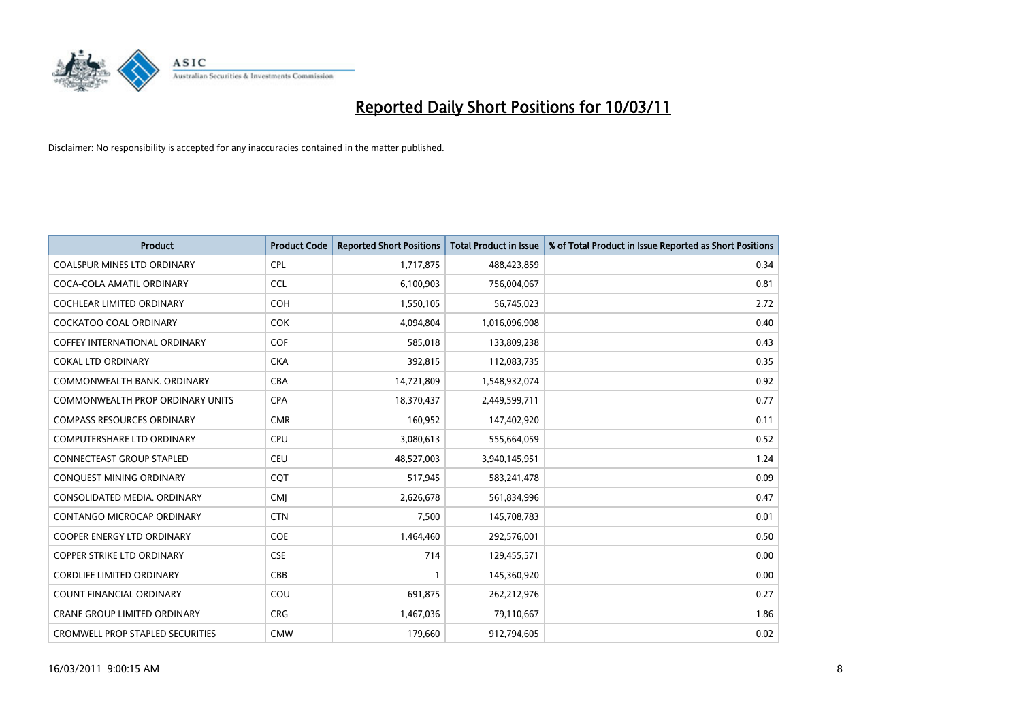

| <b>Product</b>                          | <b>Product Code</b> | <b>Reported Short Positions</b> | <b>Total Product in Issue</b> | % of Total Product in Issue Reported as Short Positions |
|-----------------------------------------|---------------------|---------------------------------|-------------------------------|---------------------------------------------------------|
| <b>COALSPUR MINES LTD ORDINARY</b>      | <b>CPL</b>          | 1,717,875                       | 488,423,859                   | 0.34                                                    |
| COCA-COLA AMATIL ORDINARY               | <b>CCL</b>          | 6,100,903                       | 756,004,067                   | 0.81                                                    |
| <b>COCHLEAR LIMITED ORDINARY</b>        | <b>COH</b>          | 1,550,105                       | 56,745,023                    | 2.72                                                    |
| COCKATOO COAL ORDINARY                  | <b>COK</b>          | 4,094,804                       | 1,016,096,908                 | 0.40                                                    |
| <b>COFFEY INTERNATIONAL ORDINARY</b>    | <b>COF</b>          | 585,018                         | 133,809,238                   | 0.43                                                    |
| <b>COKAL LTD ORDINARY</b>               | <b>CKA</b>          | 392,815                         | 112,083,735                   | 0.35                                                    |
| COMMONWEALTH BANK, ORDINARY             | <b>CBA</b>          | 14,721,809                      | 1,548,932,074                 | 0.92                                                    |
| COMMONWEALTH PROP ORDINARY UNITS        | <b>CPA</b>          | 18,370,437                      | 2,449,599,711                 | 0.77                                                    |
| <b>COMPASS RESOURCES ORDINARY</b>       | <b>CMR</b>          | 160,952                         | 147,402,920                   | 0.11                                                    |
| <b>COMPUTERSHARE LTD ORDINARY</b>       | <b>CPU</b>          | 3,080,613                       | 555,664,059                   | 0.52                                                    |
| <b>CONNECTEAST GROUP STAPLED</b>        | <b>CEU</b>          | 48,527,003                      | 3,940,145,951                 | 1.24                                                    |
| CONQUEST MINING ORDINARY                | COT                 | 517,945                         | 583,241,478                   | 0.09                                                    |
| CONSOLIDATED MEDIA, ORDINARY            | <b>CMJ</b>          | 2,626,678                       | 561,834,996                   | 0.47                                                    |
| <b>CONTANGO MICROCAP ORDINARY</b>       | <b>CTN</b>          | 7,500                           | 145,708,783                   | 0.01                                                    |
| <b>COOPER ENERGY LTD ORDINARY</b>       | <b>COE</b>          | 1,464,460                       | 292,576,001                   | 0.50                                                    |
| <b>COPPER STRIKE LTD ORDINARY</b>       | <b>CSE</b>          | 714                             | 129,455,571                   | 0.00                                                    |
| <b>CORDLIFE LIMITED ORDINARY</b>        | CBB                 |                                 | 145,360,920                   | 0.00                                                    |
| COUNT FINANCIAL ORDINARY                | COU                 | 691,875                         | 262,212,976                   | 0.27                                                    |
| <b>CRANE GROUP LIMITED ORDINARY</b>     | <b>CRG</b>          | 1,467,036                       | 79,110,667                    | 1.86                                                    |
| <b>CROMWELL PROP STAPLED SECURITIES</b> | <b>CMW</b>          | 179,660                         | 912,794,605                   | 0.02                                                    |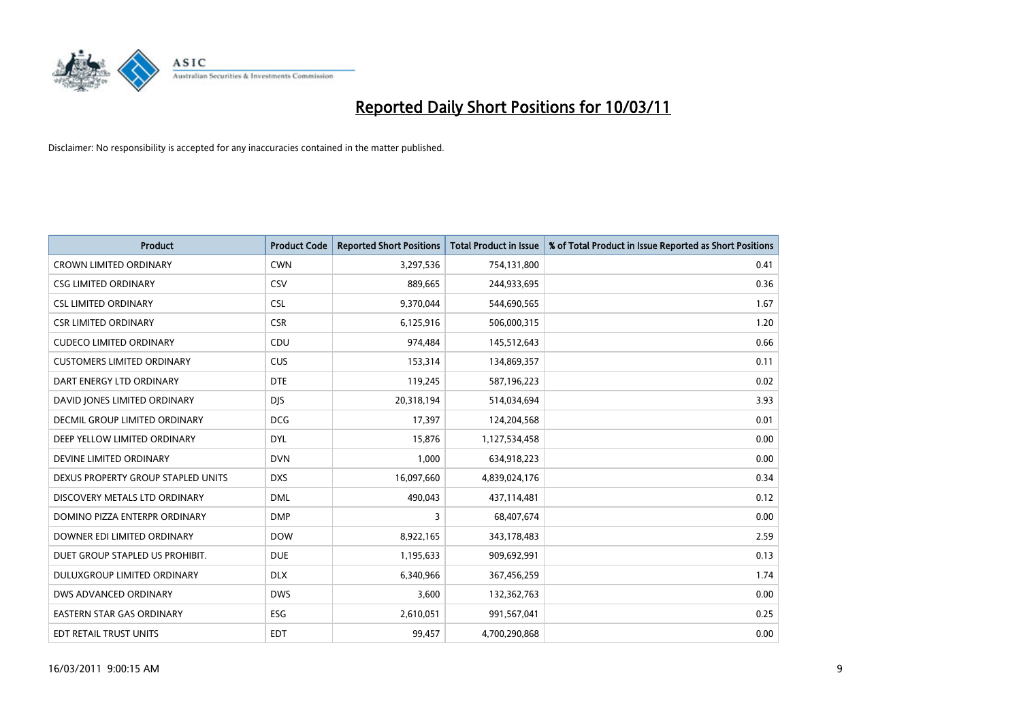

| Product                              | <b>Product Code</b> | <b>Reported Short Positions</b> | <b>Total Product in Issue</b> | % of Total Product in Issue Reported as Short Positions |
|--------------------------------------|---------------------|---------------------------------|-------------------------------|---------------------------------------------------------|
| <b>CROWN LIMITED ORDINARY</b>        | <b>CWN</b>          | 3,297,536                       | 754,131,800                   | 0.41                                                    |
| <b>CSG LIMITED ORDINARY</b>          | CSV                 | 889,665                         | 244,933,695                   | 0.36                                                    |
| <b>CSL LIMITED ORDINARY</b>          | <b>CSL</b>          | 9,370,044                       | 544,690,565                   | 1.67                                                    |
| <b>CSR LIMITED ORDINARY</b>          | <b>CSR</b>          | 6,125,916                       | 506,000,315                   | 1.20                                                    |
| <b>CUDECO LIMITED ORDINARY</b>       | CDU                 | 974,484                         | 145,512,643                   | 0.66                                                    |
| <b>CUSTOMERS LIMITED ORDINARY</b>    | <b>CUS</b>          | 153,314                         | 134,869,357                   | 0.11                                                    |
| DART ENERGY LTD ORDINARY             | <b>DTE</b>          | 119,245                         | 587,196,223                   | 0.02                                                    |
| DAVID JONES LIMITED ORDINARY         | <b>DJS</b>          | 20,318,194                      | 514,034,694                   | 3.93                                                    |
| <b>DECMIL GROUP LIMITED ORDINARY</b> | <b>DCG</b>          | 17,397                          | 124,204,568                   | 0.01                                                    |
| DEEP YELLOW LIMITED ORDINARY         | <b>DYL</b>          | 15,876                          | 1,127,534,458                 | 0.00                                                    |
| DEVINE LIMITED ORDINARY              | <b>DVN</b>          | 1,000                           | 634,918,223                   | 0.00                                                    |
| DEXUS PROPERTY GROUP STAPLED UNITS   | <b>DXS</b>          | 16,097,660                      | 4,839,024,176                 | 0.34                                                    |
| DISCOVERY METALS LTD ORDINARY        | <b>DML</b>          | 490,043                         | 437,114,481                   | 0.12                                                    |
| DOMINO PIZZA ENTERPR ORDINARY        | <b>DMP</b>          | 3                               | 68,407,674                    | 0.00                                                    |
| DOWNER EDI LIMITED ORDINARY          | <b>DOW</b>          | 8,922,165                       | 343,178,483                   | 2.59                                                    |
| DUET GROUP STAPLED US PROHIBIT.      | <b>DUE</b>          | 1,195,633                       | 909,692,991                   | 0.13                                                    |
| DULUXGROUP LIMITED ORDINARY          | <b>DLX</b>          | 6,340,966                       | 367,456,259                   | 1.74                                                    |
| DWS ADVANCED ORDINARY                | <b>DWS</b>          | 3,600                           | 132,362,763                   | 0.00                                                    |
| <b>EASTERN STAR GAS ORDINARY</b>     | <b>ESG</b>          | 2,610,051                       | 991,567,041                   | 0.25                                                    |
| <b>EDT RETAIL TRUST UNITS</b>        | <b>EDT</b>          | 99,457                          | 4,700,290,868                 | 0.00                                                    |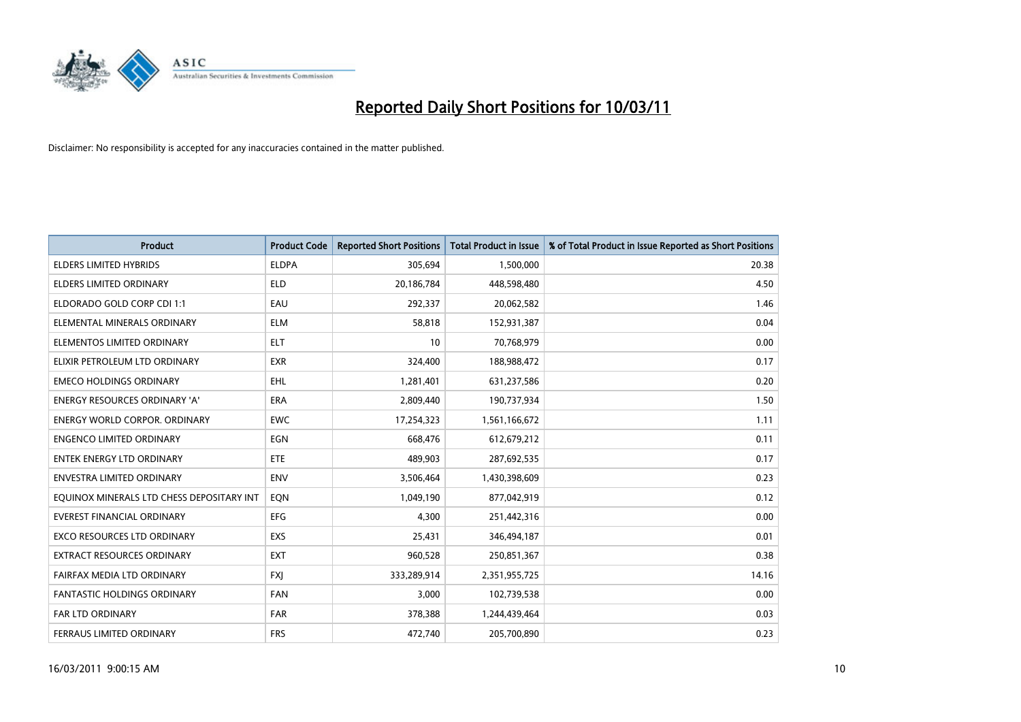

| <b>Product</b>                            | <b>Product Code</b> | <b>Reported Short Positions</b> | Total Product in Issue | % of Total Product in Issue Reported as Short Positions |
|-------------------------------------------|---------------------|---------------------------------|------------------------|---------------------------------------------------------|
| <b>ELDERS LIMITED HYBRIDS</b>             | <b>ELDPA</b>        | 305,694                         | 1,500,000              | 20.38                                                   |
| <b>ELDERS LIMITED ORDINARY</b>            | <b>ELD</b>          | 20,186,784                      | 448,598,480            | 4.50                                                    |
| ELDORADO GOLD CORP CDI 1:1                | EAU                 | 292,337                         | 20,062,582             | 1.46                                                    |
| ELEMENTAL MINERALS ORDINARY               | <b>ELM</b>          | 58,818                          | 152,931,387            | 0.04                                                    |
| ELEMENTOS LIMITED ORDINARY                | <b>ELT</b>          | 10                              | 70,768,979             | 0.00                                                    |
| ELIXIR PETROLEUM LTD ORDINARY             | <b>EXR</b>          | 324,400                         | 188,988,472            | 0.17                                                    |
| <b>EMECO HOLDINGS ORDINARY</b>            | <b>EHL</b>          | 1,281,401                       | 631,237,586            | 0.20                                                    |
| <b>ENERGY RESOURCES ORDINARY 'A'</b>      | <b>ERA</b>          | 2,809,440                       | 190,737,934            | 1.50                                                    |
| <b>ENERGY WORLD CORPOR. ORDINARY</b>      | <b>EWC</b>          | 17,254,323                      | 1,561,166,672          | 1.11                                                    |
| <b>ENGENCO LIMITED ORDINARY</b>           | EGN                 | 668,476                         | 612,679,212            | 0.11                                                    |
| <b>ENTEK ENERGY LTD ORDINARY</b>          | <b>ETE</b>          | 489,903                         | 287,692,535            | 0.17                                                    |
| <b>ENVESTRA LIMITED ORDINARY</b>          | <b>ENV</b>          | 3,506,464                       | 1,430,398,609          | 0.23                                                    |
| EQUINOX MINERALS LTD CHESS DEPOSITARY INT | EQN                 | 1,049,190                       | 877,042,919            | 0.12                                                    |
| <b>EVEREST FINANCIAL ORDINARY</b>         | <b>EFG</b>          | 4.300                           | 251,442,316            | 0.00                                                    |
| <b>EXCO RESOURCES LTD ORDINARY</b>        | <b>EXS</b>          | 25,431                          | 346,494,187            | 0.01                                                    |
| <b>EXTRACT RESOURCES ORDINARY</b>         | <b>EXT</b>          | 960,528                         | 250,851,367            | 0.38                                                    |
| FAIRFAX MEDIA LTD ORDINARY                | <b>FXI</b>          | 333,289,914                     | 2,351,955,725          | 14.16                                                   |
| FANTASTIC HOLDINGS ORDINARY               | <b>FAN</b>          | 3,000                           | 102,739,538            | 0.00                                                    |
| <b>FAR LTD ORDINARY</b>                   | FAR                 | 378,388                         | 1,244,439,464          | 0.03                                                    |
| FERRAUS LIMITED ORDINARY                  | <b>FRS</b>          | 472.740                         | 205,700,890            | 0.23                                                    |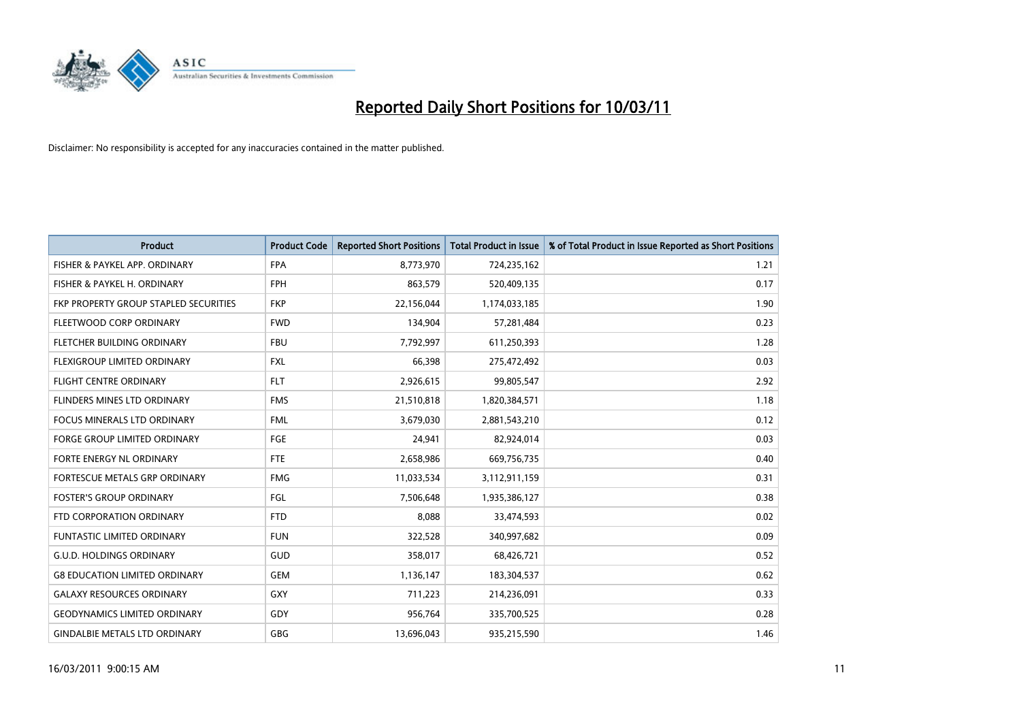

| Product                                      | <b>Product Code</b> | <b>Reported Short Positions</b> | <b>Total Product in Issue</b> | % of Total Product in Issue Reported as Short Positions |
|----------------------------------------------|---------------------|---------------------------------|-------------------------------|---------------------------------------------------------|
| FISHER & PAYKEL APP. ORDINARY                | <b>FPA</b>          | 8,773,970                       | 724,235,162                   | 1.21                                                    |
| FISHER & PAYKEL H. ORDINARY                  | <b>FPH</b>          | 863,579                         | 520,409,135                   | 0.17                                                    |
| <b>FKP PROPERTY GROUP STAPLED SECURITIES</b> | <b>FKP</b>          | 22,156,044                      | 1,174,033,185                 | 1.90                                                    |
| FLEETWOOD CORP ORDINARY                      | <b>FWD</b>          | 134,904                         | 57,281,484                    | 0.23                                                    |
| FLETCHER BUILDING ORDINARY                   | <b>FBU</b>          | 7,792,997                       | 611,250,393                   | 1.28                                                    |
| FLEXIGROUP LIMITED ORDINARY                  | <b>FXL</b>          | 66.398                          | 275,472,492                   | 0.03                                                    |
| <b>FLIGHT CENTRE ORDINARY</b>                | <b>FLT</b>          | 2,926,615                       | 99,805,547                    | 2.92                                                    |
| <b>FLINDERS MINES LTD ORDINARY</b>           | <b>FMS</b>          | 21,510,818                      | 1,820,384,571                 | 1.18                                                    |
| FOCUS MINERALS LTD ORDINARY                  | <b>FML</b>          | 3,679,030                       | 2,881,543,210                 | 0.12                                                    |
| <b>FORGE GROUP LIMITED ORDINARY</b>          | FGE                 | 24,941                          | 82,924,014                    | 0.03                                                    |
| <b>FORTE ENERGY NL ORDINARY</b>              | <b>FTE</b>          | 2,658,986                       | 669,756,735                   | 0.40                                                    |
| <b>FORTESCUE METALS GRP ORDINARY</b>         | <b>FMG</b>          | 11,033,534                      | 3,112,911,159                 | 0.31                                                    |
| <b>FOSTER'S GROUP ORDINARY</b>               | FGL                 | 7,506,648                       | 1,935,386,127                 | 0.38                                                    |
| FTD CORPORATION ORDINARY                     | <b>FTD</b>          | 8,088                           | 33,474,593                    | 0.02                                                    |
| <b>FUNTASTIC LIMITED ORDINARY</b>            | <b>FUN</b>          | 322,528                         | 340,997,682                   | 0.09                                                    |
| <b>G.U.D. HOLDINGS ORDINARY</b>              | <b>GUD</b>          | 358,017                         | 68,426,721                    | 0.52                                                    |
| <b>G8 EDUCATION LIMITED ORDINARY</b>         | <b>GEM</b>          | 1,136,147                       | 183,304,537                   | 0.62                                                    |
| <b>GALAXY RESOURCES ORDINARY</b>             | GXY                 | 711,223                         | 214,236,091                   | 0.33                                                    |
| <b>GEODYNAMICS LIMITED ORDINARY</b>          | GDY                 | 956,764                         | 335,700,525                   | 0.28                                                    |
| <b>GINDALBIE METALS LTD ORDINARY</b>         | <b>GBG</b>          | 13,696,043                      | 935,215,590                   | 1.46                                                    |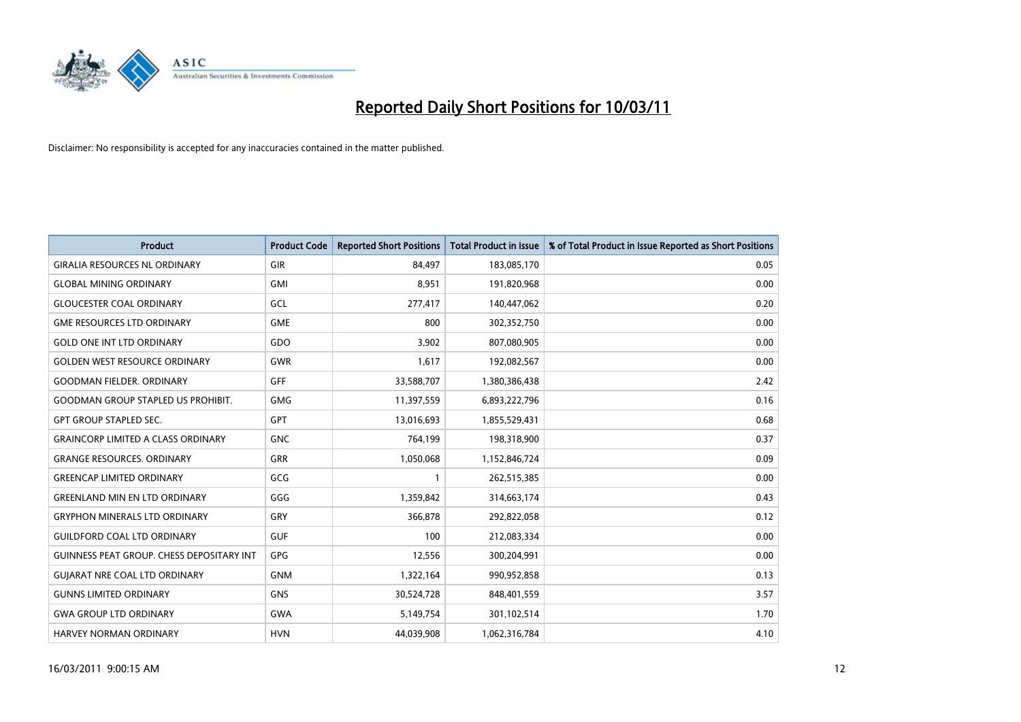

| <b>Product</b>                                   | <b>Product Code</b> | <b>Reported Short Positions</b> | Total Product in Issue | % of Total Product in Issue Reported as Short Positions |
|--------------------------------------------------|---------------------|---------------------------------|------------------------|---------------------------------------------------------|
| <b>GIRALIA RESOURCES NL ORDINARY</b>             | GIR                 | 84,497                          | 183,085,170            | 0.05                                                    |
| <b>GLOBAL MINING ORDINARY</b>                    | <b>GMI</b>          | 8.951                           | 191,820,968            | 0.00                                                    |
| <b>GLOUCESTER COAL ORDINARY</b>                  | GCL                 | 277,417                         | 140,447,062            | 0.20                                                    |
| <b>GME RESOURCES LTD ORDINARY</b>                | <b>GME</b>          | 800                             | 302,352,750            | 0.00                                                    |
| <b>GOLD ONE INT LTD ORDINARY</b>                 | GDO                 | 3,902                           | 807,080,905            | 0.00                                                    |
| <b>GOLDEN WEST RESOURCE ORDINARY</b>             | <b>GWR</b>          | 1,617                           | 192,082,567            | 0.00                                                    |
| <b>GOODMAN FIELDER, ORDINARY</b>                 | <b>GFF</b>          | 33,588,707                      | 1,380,386,438          | 2.42                                                    |
| <b>GOODMAN GROUP STAPLED US PROHIBIT.</b>        | <b>GMG</b>          | 11,397,559                      | 6,893,222,796          | 0.16                                                    |
| <b>GPT GROUP STAPLED SEC.</b>                    | <b>GPT</b>          | 13,016,693                      | 1,855,529,431          | 0.68                                                    |
| <b>GRAINCORP LIMITED A CLASS ORDINARY</b>        | <b>GNC</b>          | 764,199                         | 198,318,900            | 0.37                                                    |
| <b>GRANGE RESOURCES. ORDINARY</b>                | <b>GRR</b>          | 1,050,068                       | 1,152,846,724          | 0.09                                                    |
| <b>GREENCAP LIMITED ORDINARY</b>                 | GCG                 |                                 | 262,515,385            | 0.00                                                    |
| <b>GREENLAND MIN EN LTD ORDINARY</b>             | GGG                 | 1,359,842                       | 314,663,174            | 0.43                                                    |
| <b>GRYPHON MINERALS LTD ORDINARY</b>             | GRY                 | 366.878                         | 292,822,058            | 0.12                                                    |
| <b>GUILDFORD COAL LTD ORDINARY</b>               | <b>GUF</b>          | 100                             | 212,083,334            | 0.00                                                    |
| <b>GUINNESS PEAT GROUP. CHESS DEPOSITARY INT</b> | <b>GPG</b>          | 12,556                          | 300,204,991            | 0.00                                                    |
| <b>GUIARAT NRE COAL LTD ORDINARY</b>             | <b>GNM</b>          | 1,322,164                       | 990,952,858            | 0.13                                                    |
| <b>GUNNS LIMITED ORDINARY</b>                    | <b>GNS</b>          | 30,524,728                      | 848,401,559            | 3.57                                                    |
| <b>GWA GROUP LTD ORDINARY</b>                    | <b>GWA</b>          | 5,149,754                       | 301,102,514            | 1.70                                                    |
| <b>HARVEY NORMAN ORDINARY</b>                    | <b>HVN</b>          | 44.039.908                      | 1,062,316,784          | 4.10                                                    |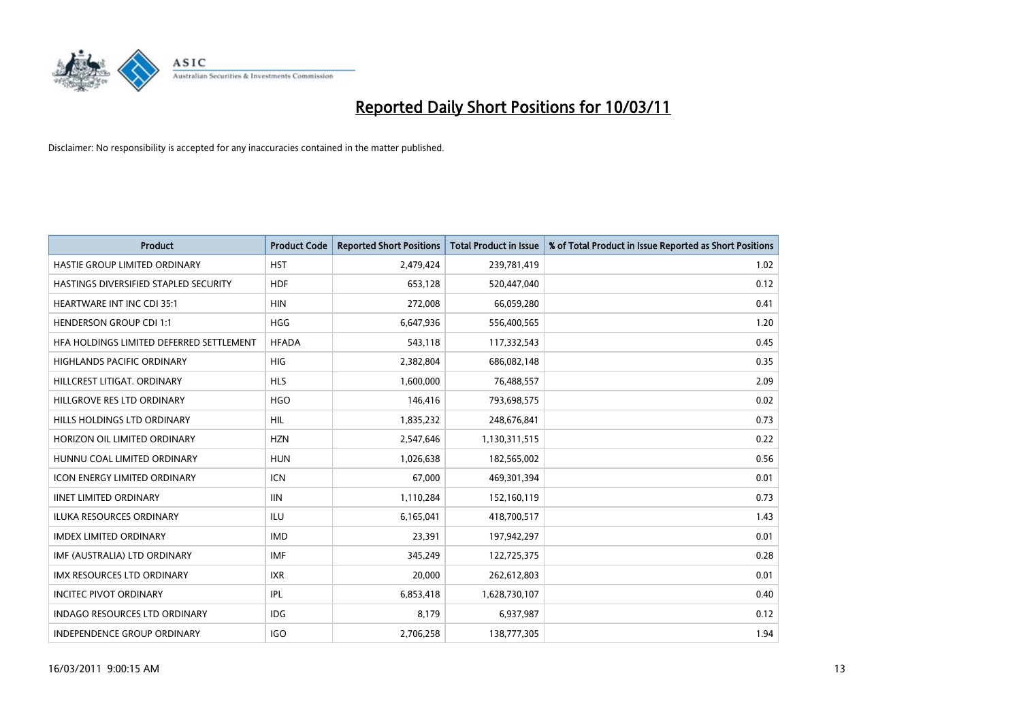

| Product                                  | <b>Product Code</b> | <b>Reported Short Positions</b> | <b>Total Product in Issue</b> | % of Total Product in Issue Reported as Short Positions |
|------------------------------------------|---------------------|---------------------------------|-------------------------------|---------------------------------------------------------|
| HASTIE GROUP LIMITED ORDINARY            | <b>HST</b>          | 2,479,424                       | 239,781,419                   | 1.02                                                    |
| HASTINGS DIVERSIFIED STAPLED SECURITY    | <b>HDF</b>          | 653,128                         | 520,447,040                   | 0.12                                                    |
| <b>HEARTWARE INT INC CDI 35:1</b>        | <b>HIN</b>          | 272,008                         | 66,059,280                    | 0.41                                                    |
| <b>HENDERSON GROUP CDI 1:1</b>           | <b>HGG</b>          | 6,647,936                       | 556,400,565                   | 1.20                                                    |
| HFA HOLDINGS LIMITED DEFERRED SETTLEMENT | <b>HFADA</b>        | 543,118                         | 117,332,543                   | 0.45                                                    |
| <b>HIGHLANDS PACIFIC ORDINARY</b>        | <b>HIG</b>          | 2,382,804                       | 686,082,148                   | 0.35                                                    |
| HILLCREST LITIGAT, ORDINARY              | <b>HLS</b>          | 1,600,000                       | 76,488,557                    | 2.09                                                    |
| HILLGROVE RES LTD ORDINARY               | <b>HGO</b>          | 146,416                         | 793,698,575                   | 0.02                                                    |
| HILLS HOLDINGS LTD ORDINARY              | <b>HIL</b>          | 1,835,232                       | 248,676,841                   | 0.73                                                    |
| HORIZON OIL LIMITED ORDINARY             | <b>HZN</b>          | 2,547,646                       | 1,130,311,515                 | 0.22                                                    |
| HUNNU COAL LIMITED ORDINARY              | <b>HUN</b>          | 1,026,638                       | 182,565,002                   | 0.56                                                    |
| <b>ICON ENERGY LIMITED ORDINARY</b>      | <b>ICN</b>          | 67,000                          | 469,301,394                   | 0.01                                                    |
| <b>IINET LIMITED ORDINARY</b>            | <b>IIN</b>          | 1,110,284                       | 152,160,119                   | 0.73                                                    |
| <b>ILUKA RESOURCES ORDINARY</b>          | ILU                 | 6,165,041                       | 418,700,517                   | 1.43                                                    |
| <b>IMDEX LIMITED ORDINARY</b>            | <b>IMD</b>          | 23,391                          | 197,942,297                   | 0.01                                                    |
| IMF (AUSTRALIA) LTD ORDINARY             | <b>IMF</b>          | 345,249                         | 122,725,375                   | 0.28                                                    |
| <b>IMX RESOURCES LTD ORDINARY</b>        | <b>IXR</b>          | 20,000                          | 262,612,803                   | 0.01                                                    |
| <b>INCITEC PIVOT ORDINARY</b>            | IPL                 | 6,853,418                       | 1,628,730,107                 | 0.40                                                    |
| <b>INDAGO RESOURCES LTD ORDINARY</b>     | IDG                 | 8,179                           | 6,937,987                     | 0.12                                                    |
| <b>INDEPENDENCE GROUP ORDINARY</b>       | <b>IGO</b>          | 2,706,258                       | 138,777,305                   | 1.94                                                    |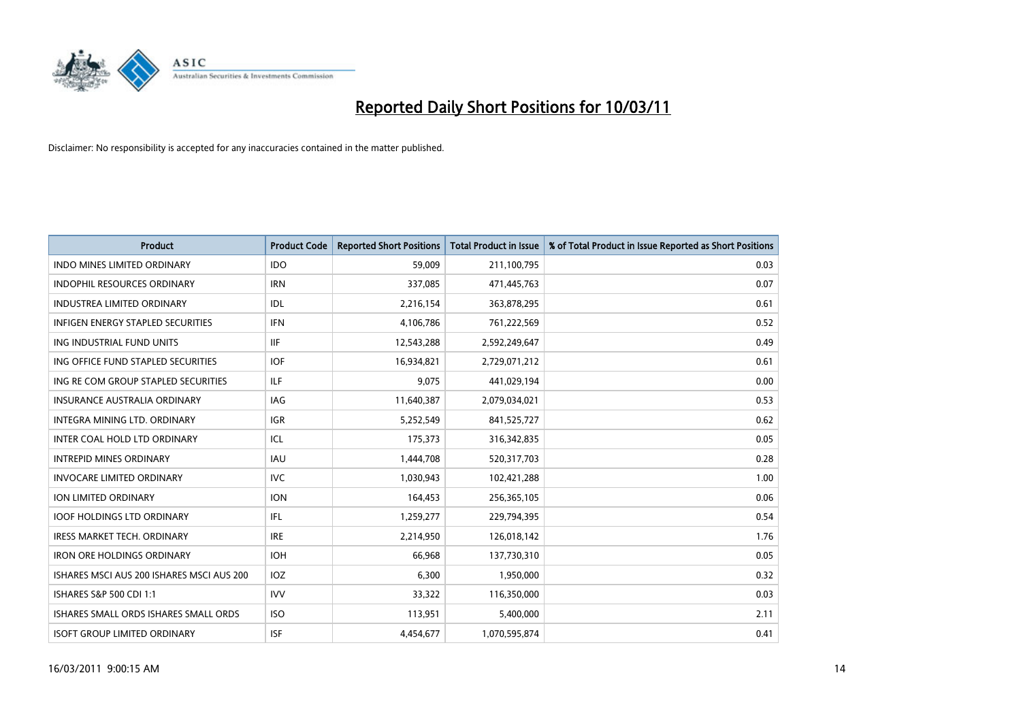

| <b>Product</b>                            | <b>Product Code</b> | <b>Reported Short Positions</b> | <b>Total Product in Issue</b> | % of Total Product in Issue Reported as Short Positions |
|-------------------------------------------|---------------------|---------------------------------|-------------------------------|---------------------------------------------------------|
| <b>INDO MINES LIMITED ORDINARY</b>        | <b>IDO</b>          | 59,009                          | 211,100,795                   | 0.03                                                    |
| INDOPHIL RESOURCES ORDINARY               | <b>IRN</b>          | 337,085                         | 471,445,763                   | 0.07                                                    |
| <b>INDUSTREA LIMITED ORDINARY</b>         | IDL                 | 2,216,154                       | 363,878,295                   | 0.61                                                    |
| INFIGEN ENERGY STAPLED SECURITIES         | <b>IFN</b>          | 4,106,786                       | 761,222,569                   | 0.52                                                    |
| ING INDUSTRIAL FUND UNITS                 | <b>IIF</b>          | 12,543,288                      | 2,592,249,647                 | 0.49                                                    |
| ING OFFICE FUND STAPLED SECURITIES        | <b>IOF</b>          | 16,934,821                      | 2,729,071,212                 | 0.61                                                    |
| ING RE COM GROUP STAPLED SECURITIES       | <b>ILF</b>          | 9.075                           | 441,029,194                   | 0.00                                                    |
| <b>INSURANCE AUSTRALIA ORDINARY</b>       | IAG                 | 11,640,387                      | 2,079,034,021                 | 0.53                                                    |
| INTEGRA MINING LTD. ORDINARY              | IGR                 | 5,252,549                       | 841,525,727                   | 0.62                                                    |
| INTER COAL HOLD LTD ORDINARY              | ICL                 | 175,373                         | 316,342,835                   | 0.05                                                    |
| <b>INTREPID MINES ORDINARY</b>            | <b>IAU</b>          | 1,444,708                       | 520,317,703                   | 0.28                                                    |
| <b>INVOCARE LIMITED ORDINARY</b>          | <b>IVC</b>          | 1,030,943                       | 102,421,288                   | 1.00                                                    |
| <b>ION LIMITED ORDINARY</b>               | <b>ION</b>          | 164,453                         | 256,365,105                   | 0.06                                                    |
| <b>IOOF HOLDINGS LTD ORDINARY</b>         | <b>IFL</b>          | 1,259,277                       | 229,794,395                   | 0.54                                                    |
| <b>IRESS MARKET TECH. ORDINARY</b>        | <b>IRE</b>          | 2,214,950                       | 126,018,142                   | 1.76                                                    |
| <b>IRON ORE HOLDINGS ORDINARY</b>         | <b>IOH</b>          | 66,968                          | 137,730,310                   | 0.05                                                    |
| ISHARES MSCI AUS 200 ISHARES MSCI AUS 200 | <b>IOZ</b>          | 6,300                           | 1,950,000                     | 0.32                                                    |
| ISHARES S&P 500 CDI 1:1                   | <b>IVV</b>          | 33,322                          | 116,350,000                   | 0.03                                                    |
| ISHARES SMALL ORDS ISHARES SMALL ORDS     | <b>ISO</b>          | 113,951                         | 5,400,000                     | 2.11                                                    |
| <b>ISOFT GROUP LIMITED ORDINARY</b>       | <b>ISF</b>          | 4.454.677                       | 1,070,595,874                 | 0.41                                                    |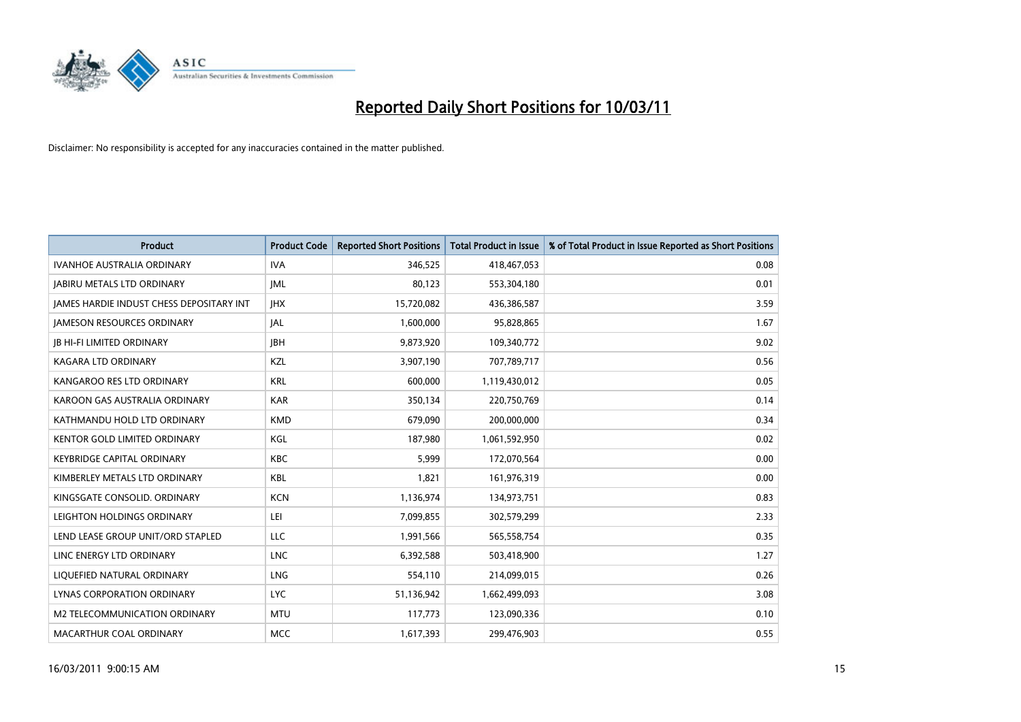

| Product                                         | <b>Product Code</b> | <b>Reported Short Positions</b> | <b>Total Product in Issue</b> | % of Total Product in Issue Reported as Short Positions |
|-------------------------------------------------|---------------------|---------------------------------|-------------------------------|---------------------------------------------------------|
| <b>IVANHOE AUSTRALIA ORDINARY</b>               | <b>IVA</b>          | 346,525                         | 418,467,053                   | 0.08                                                    |
| <b>JABIRU METALS LTD ORDINARY</b>               | <b>JML</b>          | 80,123                          | 553,304,180                   | 0.01                                                    |
| <b>IAMES HARDIE INDUST CHESS DEPOSITARY INT</b> | <b>IHX</b>          | 15,720,082                      | 436,386,587                   | 3.59                                                    |
| <b>JAMESON RESOURCES ORDINARY</b>               | JAL                 | 1,600,000                       | 95,828,865                    | 1.67                                                    |
| <b>JB HI-FI LIMITED ORDINARY</b>                | <b>IBH</b>          | 9,873,920                       | 109,340,772                   | 9.02                                                    |
| <b>KAGARA LTD ORDINARY</b>                      | KZL                 | 3,907,190                       | 707,789,717                   | 0.56                                                    |
| KANGAROO RES LTD ORDINARY                       | <b>KRL</b>          | 600,000                         | 1,119,430,012                 | 0.05                                                    |
| KAROON GAS AUSTRALIA ORDINARY                   | <b>KAR</b>          | 350,134                         | 220,750,769                   | 0.14                                                    |
| KATHMANDU HOLD LTD ORDINARY                     | <b>KMD</b>          | 679,090                         | 200,000,000                   | 0.34                                                    |
| <b>KENTOR GOLD LIMITED ORDINARY</b>             | KGL                 | 187,980                         | 1,061,592,950                 | 0.02                                                    |
| KEYBRIDGE CAPITAL ORDINARY                      | <b>KBC</b>          | 5,999                           | 172,070,564                   | 0.00                                                    |
| KIMBERLEY METALS LTD ORDINARY                   | <b>KBL</b>          | 1,821                           | 161,976,319                   | 0.00                                                    |
| KINGSGATE CONSOLID. ORDINARY                    | <b>KCN</b>          | 1,136,974                       | 134,973,751                   | 0.83                                                    |
| LEIGHTON HOLDINGS ORDINARY                      | LEI                 | 7,099,855                       | 302,579,299                   | 2.33                                                    |
| LEND LEASE GROUP UNIT/ORD STAPLED               | <b>LLC</b>          | 1,991,566                       | 565,558,754                   | 0.35                                                    |
| LINC ENERGY LTD ORDINARY                        | <b>LNC</b>          | 6,392,588                       | 503,418,900                   | 1.27                                                    |
| LIQUEFIED NATURAL ORDINARY                      | <b>LNG</b>          | 554,110                         | 214,099,015                   | 0.26                                                    |
| LYNAS CORPORATION ORDINARY                      | <b>LYC</b>          | 51,136,942                      | 1,662,499,093                 | 3.08                                                    |
| M2 TELECOMMUNICATION ORDINARY                   | <b>MTU</b>          | 117,773                         | 123,090,336                   | 0.10                                                    |
| MACARTHUR COAL ORDINARY                         | <b>MCC</b>          | 1,617,393                       | 299,476,903                   | 0.55                                                    |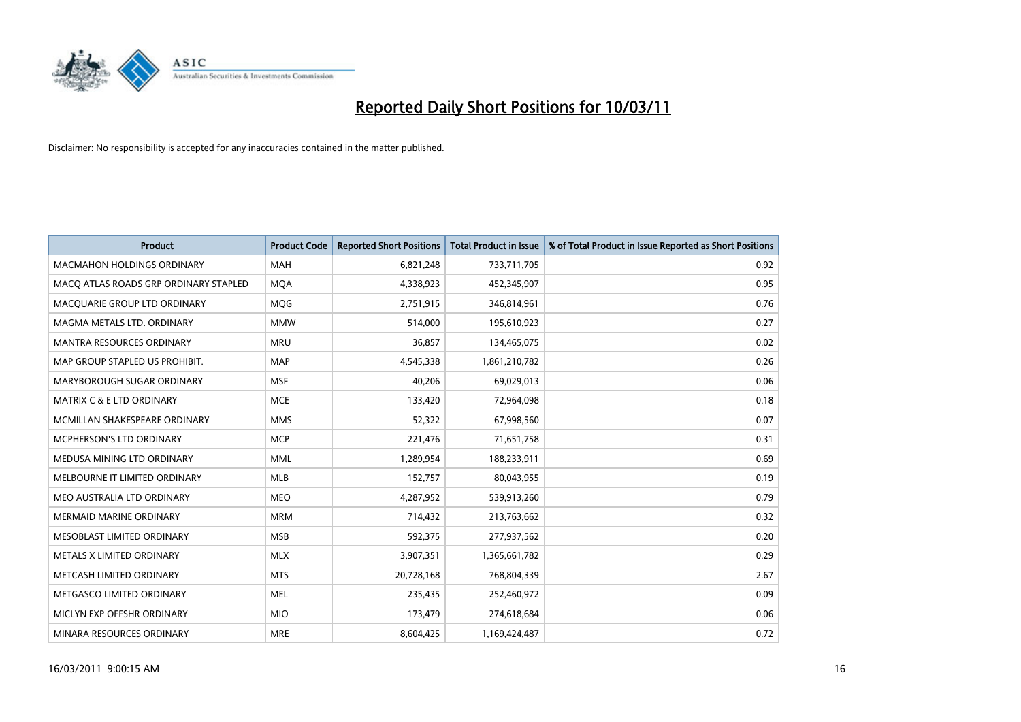

| Product                               | <b>Product Code</b> | <b>Reported Short Positions</b> | <b>Total Product in Issue</b> | % of Total Product in Issue Reported as Short Positions |
|---------------------------------------|---------------------|---------------------------------|-------------------------------|---------------------------------------------------------|
| <b>MACMAHON HOLDINGS ORDINARY</b>     | <b>MAH</b>          | 6,821,248                       | 733,711,705                   | 0.92                                                    |
| MACO ATLAS ROADS GRP ORDINARY STAPLED | <b>MQA</b>          | 4,338,923                       | 452,345,907                   | 0.95                                                    |
| MACQUARIE GROUP LTD ORDINARY          | <b>MOG</b>          | 2,751,915                       | 346,814,961                   | 0.76                                                    |
| MAGMA METALS LTD. ORDINARY            | <b>MMW</b>          | 514,000                         | 195,610,923                   | 0.27                                                    |
| <b>MANTRA RESOURCES ORDINARY</b>      | <b>MRU</b>          | 36,857                          | 134,465,075                   | 0.02                                                    |
| MAP GROUP STAPLED US PROHIBIT.        | <b>MAP</b>          | 4,545,338                       | 1,861,210,782                 | 0.26                                                    |
| MARYBOROUGH SUGAR ORDINARY            | <b>MSF</b>          | 40,206                          | 69,029,013                    | 0.06                                                    |
| MATRIX C & E LTD ORDINARY             | <b>MCE</b>          | 133,420                         | 72,964,098                    | 0.18                                                    |
| MCMILLAN SHAKESPEARE ORDINARY         | <b>MMS</b>          | 52,322                          | 67,998,560                    | 0.07                                                    |
| MCPHERSON'S LTD ORDINARY              | <b>MCP</b>          | 221,476                         | 71,651,758                    | 0.31                                                    |
| MEDUSA MINING LTD ORDINARY            | <b>MML</b>          | 1,289,954                       | 188,233,911                   | 0.69                                                    |
| MELBOURNE IT LIMITED ORDINARY         | <b>MLB</b>          | 152,757                         | 80,043,955                    | 0.19                                                    |
| MEO AUSTRALIA LTD ORDINARY            | <b>MEO</b>          | 4,287,952                       | 539,913,260                   | 0.79                                                    |
| <b>MERMAID MARINE ORDINARY</b>        | <b>MRM</b>          | 714,432                         | 213,763,662                   | 0.32                                                    |
| MESOBLAST LIMITED ORDINARY            | <b>MSB</b>          | 592,375                         | 277,937,562                   | 0.20                                                    |
| METALS X LIMITED ORDINARY             | <b>MLX</b>          | 3,907,351                       | 1,365,661,782                 | 0.29                                                    |
| METCASH LIMITED ORDINARY              | <b>MTS</b>          | 20,728,168                      | 768,804,339                   | 2.67                                                    |
| METGASCO LIMITED ORDINARY             | <b>MEL</b>          | 235,435                         | 252,460,972                   | 0.09                                                    |
| MICLYN EXP OFFSHR ORDINARY            | <b>MIO</b>          | 173,479                         | 274,618,684                   | 0.06                                                    |
| MINARA RESOURCES ORDINARY             | <b>MRE</b>          | 8,604,425                       | 1,169,424,487                 | 0.72                                                    |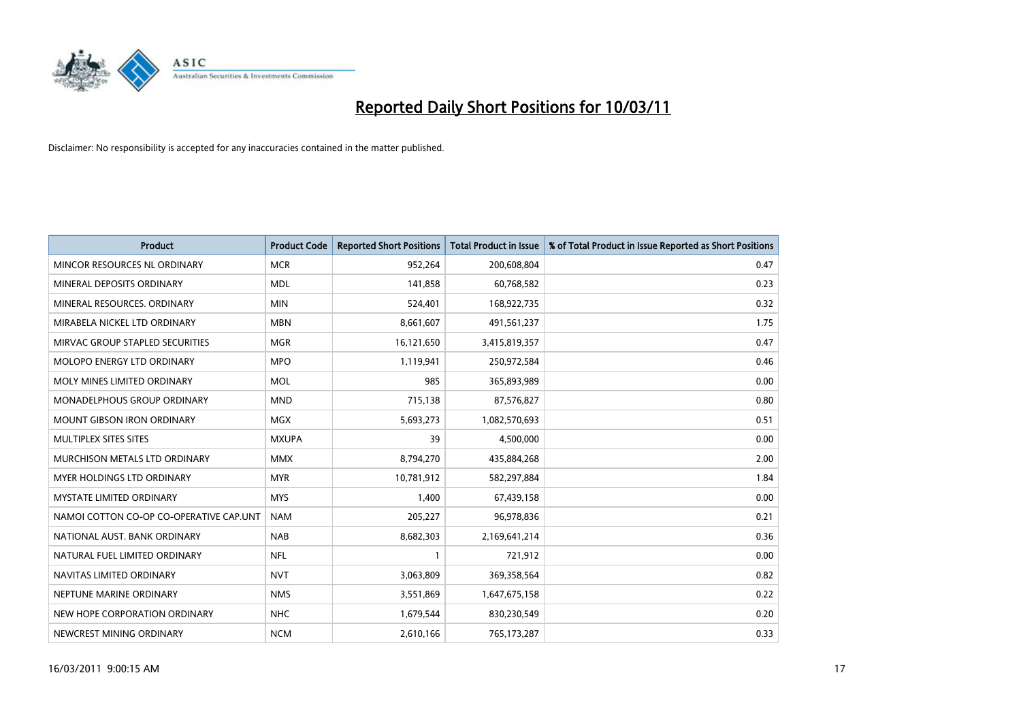

| <b>Product</b>                          | <b>Product Code</b> | <b>Reported Short Positions</b> | <b>Total Product in Issue</b> | % of Total Product in Issue Reported as Short Positions |
|-----------------------------------------|---------------------|---------------------------------|-------------------------------|---------------------------------------------------------|
| MINCOR RESOURCES NL ORDINARY            | <b>MCR</b>          | 952,264                         | 200,608,804                   | 0.47                                                    |
| MINERAL DEPOSITS ORDINARY               | <b>MDL</b>          | 141,858                         | 60,768,582                    | 0.23                                                    |
| MINERAL RESOURCES, ORDINARY             | <b>MIN</b>          | 524,401                         | 168,922,735                   | 0.32                                                    |
| MIRABELA NICKEL LTD ORDINARY            | <b>MBN</b>          | 8,661,607                       | 491,561,237                   | 1.75                                                    |
| MIRVAC GROUP STAPLED SECURITIES         | <b>MGR</b>          | 16,121,650                      | 3,415,819,357                 | 0.47                                                    |
| <b>MOLOPO ENERGY LTD ORDINARY</b>       | <b>MPO</b>          | 1,119,941                       | 250,972,584                   | 0.46                                                    |
| MOLY MINES LIMITED ORDINARY             | <b>MOL</b>          | 985                             | 365,893,989                   | 0.00                                                    |
| MONADELPHOUS GROUP ORDINARY             | <b>MND</b>          | 715,138                         | 87,576,827                    | 0.80                                                    |
| <b>MOUNT GIBSON IRON ORDINARY</b>       | <b>MGX</b>          | 5,693,273                       | 1,082,570,693                 | 0.51                                                    |
| MULTIPLEX SITES SITES                   | <b>MXUPA</b>        | 39                              | 4,500,000                     | 0.00                                                    |
| MURCHISON METALS LTD ORDINARY           | <b>MMX</b>          | 8,794,270                       | 435,884,268                   | 2.00                                                    |
| MYER HOLDINGS LTD ORDINARY              | <b>MYR</b>          | 10,781,912                      | 582,297,884                   | 1.84                                                    |
| <b>MYSTATE LIMITED ORDINARY</b>         | <b>MYS</b>          | 1,400                           | 67,439,158                    | 0.00                                                    |
| NAMOI COTTON CO-OP CO-OPERATIVE CAP.UNT | <b>NAM</b>          | 205,227                         | 96,978,836                    | 0.21                                                    |
| NATIONAL AUST. BANK ORDINARY            | <b>NAB</b>          | 8,682,303                       | 2,169,641,214                 | 0.36                                                    |
| NATURAL FUEL LIMITED ORDINARY           | <b>NFL</b>          |                                 | 721,912                       | 0.00                                                    |
| NAVITAS LIMITED ORDINARY                | <b>NVT</b>          | 3,063,809                       | 369,358,564                   | 0.82                                                    |
| NEPTUNE MARINE ORDINARY                 | <b>NMS</b>          | 3,551,869                       | 1,647,675,158                 | 0.22                                                    |
| NEW HOPE CORPORATION ORDINARY           | <b>NHC</b>          | 1,679,544                       | 830,230,549                   | 0.20                                                    |
| NEWCREST MINING ORDINARY                | <b>NCM</b>          | 2,610,166                       | 765,173,287                   | 0.33                                                    |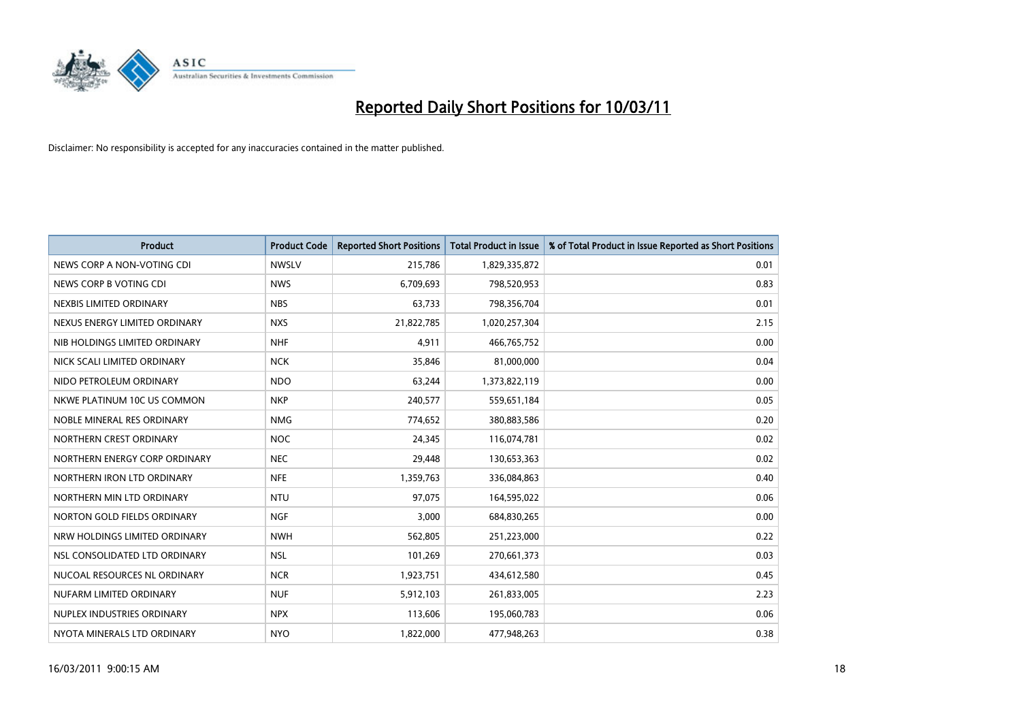

| <b>Product</b>                | <b>Product Code</b> | <b>Reported Short Positions</b> | <b>Total Product in Issue</b> | % of Total Product in Issue Reported as Short Positions |
|-------------------------------|---------------------|---------------------------------|-------------------------------|---------------------------------------------------------|
| NEWS CORP A NON-VOTING CDI    | <b>NWSLV</b>        | 215,786                         | 1,829,335,872                 | 0.01                                                    |
| NEWS CORP B VOTING CDI        | <b>NWS</b>          | 6,709,693                       | 798,520,953                   | 0.83                                                    |
| NEXBIS LIMITED ORDINARY       | <b>NBS</b>          | 63,733                          | 798,356,704                   | 0.01                                                    |
| NEXUS ENERGY LIMITED ORDINARY | <b>NXS</b>          | 21,822,785                      | 1,020,257,304                 | 2.15                                                    |
| NIB HOLDINGS LIMITED ORDINARY | <b>NHF</b>          | 4,911                           | 466,765,752                   | 0.00                                                    |
| NICK SCALI LIMITED ORDINARY   | <b>NCK</b>          | 35,846                          | 81,000,000                    | 0.04                                                    |
| NIDO PETROLEUM ORDINARY       | <b>NDO</b>          | 63,244                          | 1,373,822,119                 | 0.00                                                    |
| NKWE PLATINUM 10C US COMMON   | <b>NKP</b>          | 240,577                         | 559,651,184                   | 0.05                                                    |
| NOBLE MINERAL RES ORDINARY    | <b>NMG</b>          | 774,652                         | 380,883,586                   | 0.20                                                    |
| NORTHERN CREST ORDINARY       | <b>NOC</b>          | 24,345                          | 116,074,781                   | 0.02                                                    |
| NORTHERN ENERGY CORP ORDINARY | <b>NEC</b>          | 29,448                          | 130,653,363                   | 0.02                                                    |
| NORTHERN IRON LTD ORDINARY    | <b>NFE</b>          | 1,359,763                       | 336,084,863                   | 0.40                                                    |
| NORTHERN MIN LTD ORDINARY     | <b>NTU</b>          | 97,075                          | 164,595,022                   | 0.06                                                    |
| NORTON GOLD FIELDS ORDINARY   | <b>NGF</b>          | 3,000                           | 684,830,265                   | 0.00                                                    |
| NRW HOLDINGS LIMITED ORDINARY | <b>NWH</b>          | 562,805                         | 251,223,000                   | 0.22                                                    |
| NSL CONSOLIDATED LTD ORDINARY | <b>NSL</b>          | 101,269                         | 270,661,373                   | 0.03                                                    |
| NUCOAL RESOURCES NL ORDINARY  | <b>NCR</b>          | 1,923,751                       | 434,612,580                   | 0.45                                                    |
| NUFARM LIMITED ORDINARY       | <b>NUF</b>          | 5,912,103                       | 261,833,005                   | 2.23                                                    |
| NUPLEX INDUSTRIES ORDINARY    | <b>NPX</b>          | 113,606                         | 195,060,783                   | 0.06                                                    |
| NYOTA MINERALS LTD ORDINARY   | <b>NYO</b>          | 1,822,000                       | 477,948,263                   | 0.38                                                    |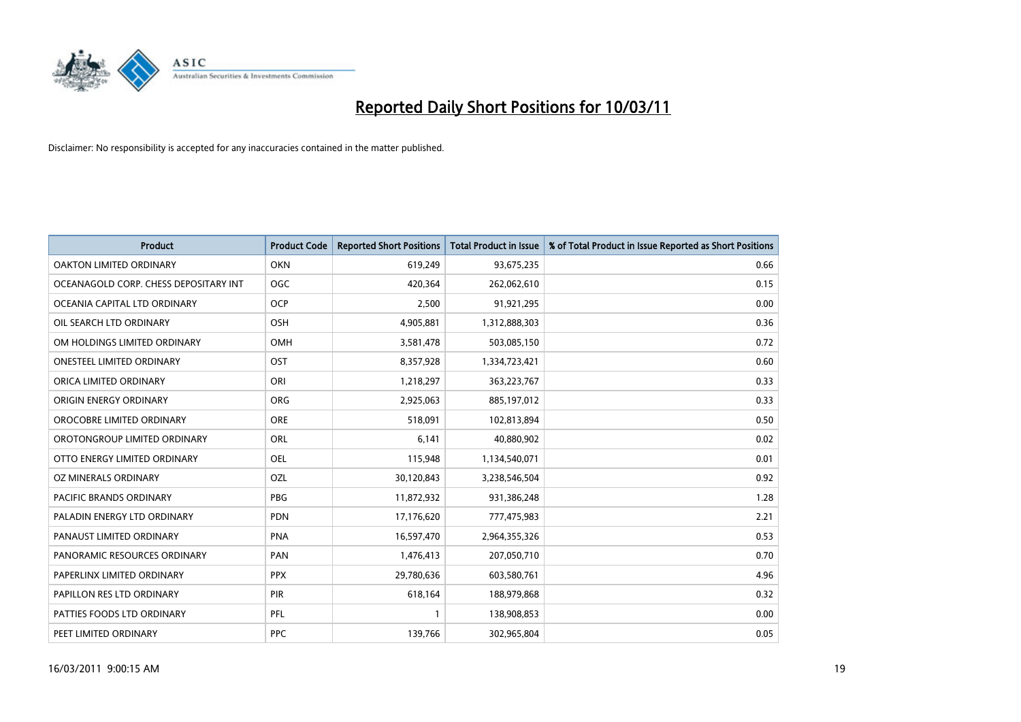

| Product                               | <b>Product Code</b> | <b>Reported Short Positions</b> | <b>Total Product in Issue</b> | % of Total Product in Issue Reported as Short Positions |
|---------------------------------------|---------------------|---------------------------------|-------------------------------|---------------------------------------------------------|
| <b>OAKTON LIMITED ORDINARY</b>        | <b>OKN</b>          | 619,249                         | 93,675,235                    | 0.66                                                    |
| OCEANAGOLD CORP. CHESS DEPOSITARY INT | <b>OGC</b>          | 420,364                         | 262,062,610                   | 0.15                                                    |
| OCEANIA CAPITAL LTD ORDINARY          | <b>OCP</b>          | 2,500                           | 91,921,295                    | 0.00                                                    |
| OIL SEARCH LTD ORDINARY               | OSH                 | 4,905,881                       | 1,312,888,303                 | 0.36                                                    |
| OM HOLDINGS LIMITED ORDINARY          | OMH                 | 3,581,478                       | 503,085,150                   | 0.72                                                    |
| <b>ONESTEEL LIMITED ORDINARY</b>      | OST                 | 8,357,928                       | 1,334,723,421                 | 0.60                                                    |
| ORICA LIMITED ORDINARY                | ORI                 | 1,218,297                       | 363,223,767                   | 0.33                                                    |
| ORIGIN ENERGY ORDINARY                | <b>ORG</b>          | 2,925,063                       | 885,197,012                   | 0.33                                                    |
| OROCOBRE LIMITED ORDINARY             | <b>ORE</b>          | 518,091                         | 102,813,894                   | 0.50                                                    |
| OROTONGROUP LIMITED ORDINARY          | <b>ORL</b>          | 6,141                           | 40,880,902                    | 0.02                                                    |
| OTTO ENERGY LIMITED ORDINARY          | <b>OEL</b>          | 115,948                         | 1,134,540,071                 | 0.01                                                    |
| OZ MINERALS ORDINARY                  | OZL                 | 30,120,843                      | 3,238,546,504                 | 0.92                                                    |
| PACIFIC BRANDS ORDINARY               | <b>PBG</b>          | 11,872,932                      | 931,386,248                   | 1.28                                                    |
| PALADIN ENERGY LTD ORDINARY           | <b>PDN</b>          | 17,176,620                      | 777,475,983                   | 2.21                                                    |
| PANAUST LIMITED ORDINARY              | <b>PNA</b>          | 16,597,470                      | 2,964,355,326                 | 0.53                                                    |
| PANORAMIC RESOURCES ORDINARY          | PAN                 | 1,476,413                       | 207,050,710                   | 0.70                                                    |
| PAPERLINX LIMITED ORDINARY            | <b>PPX</b>          | 29,780,636                      | 603,580,761                   | 4.96                                                    |
| PAPILLON RES LTD ORDINARY             | PIR                 | 618,164                         | 188,979,868                   | 0.32                                                    |
| PATTIES FOODS LTD ORDINARY            | PFL                 |                                 | 138,908,853                   | 0.00                                                    |
| PEET LIMITED ORDINARY                 | <b>PPC</b>          | 139,766                         | 302,965,804                   | 0.05                                                    |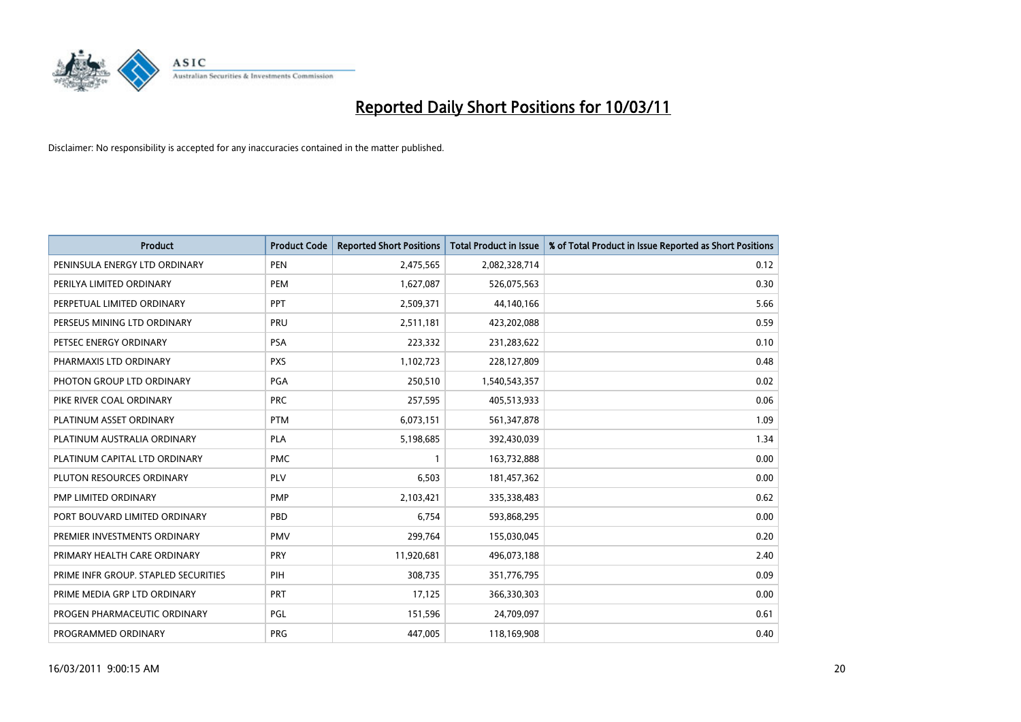

| <b>Product</b>                       | <b>Product Code</b> | <b>Reported Short Positions</b> | <b>Total Product in Issue</b> | % of Total Product in Issue Reported as Short Positions |
|--------------------------------------|---------------------|---------------------------------|-------------------------------|---------------------------------------------------------|
| PENINSULA ENERGY LTD ORDINARY        | <b>PEN</b>          | 2,475,565                       | 2,082,328,714                 | 0.12                                                    |
| PERILYA LIMITED ORDINARY             | PEM                 | 1,627,087                       | 526,075,563                   | 0.30                                                    |
| PERPETUAL LIMITED ORDINARY           | PPT                 | 2,509,371                       | 44,140,166                    | 5.66                                                    |
| PERSEUS MINING LTD ORDINARY          | PRU                 | 2,511,181                       | 423,202,088                   | 0.59                                                    |
| PETSEC ENERGY ORDINARY               | <b>PSA</b>          | 223,332                         | 231,283,622                   | 0.10                                                    |
| PHARMAXIS LTD ORDINARY               | <b>PXS</b>          | 1,102,723                       | 228,127,809                   | 0.48                                                    |
| PHOTON GROUP LTD ORDINARY            | PGA                 | 250,510                         | 1,540,543,357                 | 0.02                                                    |
| PIKE RIVER COAL ORDINARY             | <b>PRC</b>          | 257,595                         | 405,513,933                   | 0.06                                                    |
| PLATINUM ASSET ORDINARY              | <b>PTM</b>          | 6,073,151                       | 561,347,878                   | 1.09                                                    |
| PLATINUM AUSTRALIA ORDINARY          | <b>PLA</b>          | 5,198,685                       | 392,430,039                   | 1.34                                                    |
| PLATINUM CAPITAL LTD ORDINARY        | <b>PMC</b>          |                                 | 163,732,888                   | 0.00                                                    |
| PLUTON RESOURCES ORDINARY            | <b>PLV</b>          | 6,503                           | 181,457,362                   | 0.00                                                    |
| PMP LIMITED ORDINARY                 | PMP                 | 2,103,421                       | 335,338,483                   | 0.62                                                    |
| PORT BOUVARD LIMITED ORDINARY        | PBD                 | 6,754                           | 593,868,295                   | 0.00                                                    |
| PREMIER INVESTMENTS ORDINARY         | <b>PMV</b>          | 299,764                         | 155,030,045                   | 0.20                                                    |
| PRIMARY HEALTH CARE ORDINARY         | PRY                 | 11,920,681                      | 496,073,188                   | 2.40                                                    |
| PRIME INFR GROUP. STAPLED SECURITIES | PIH                 | 308,735                         | 351,776,795                   | 0.09                                                    |
| PRIME MEDIA GRP LTD ORDINARY         | <b>PRT</b>          | 17,125                          | 366,330,303                   | 0.00                                                    |
| PROGEN PHARMACEUTIC ORDINARY         | PGL                 | 151,596                         | 24,709,097                    | 0.61                                                    |
| PROGRAMMED ORDINARY                  | <b>PRG</b>          | 447,005                         | 118,169,908                   | 0.40                                                    |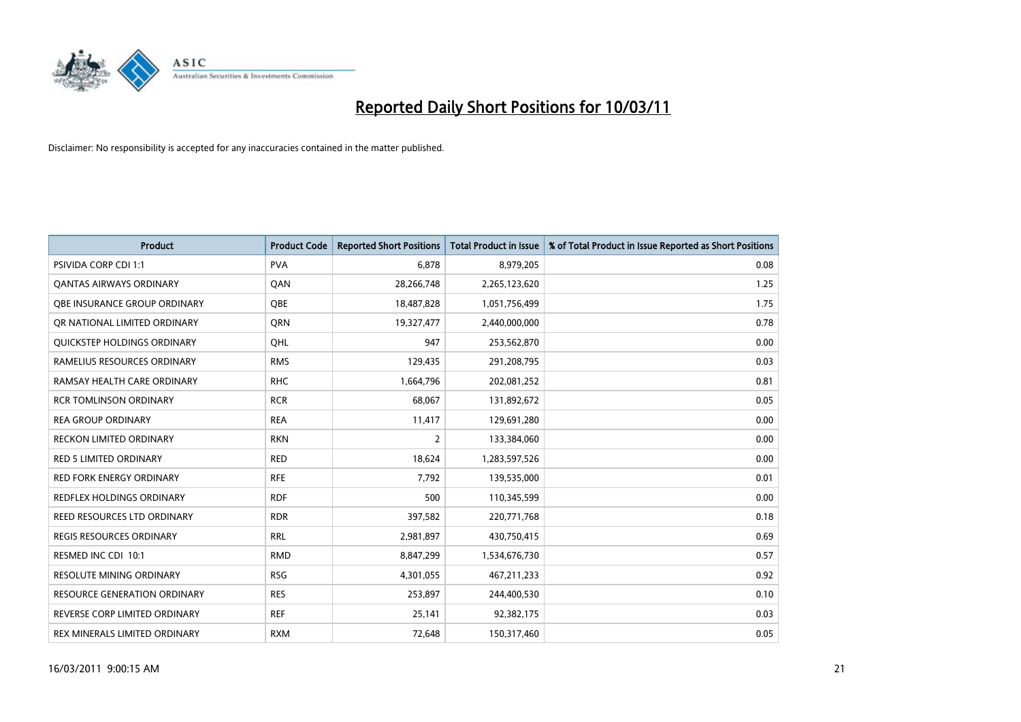

| <b>Product</b>                     | <b>Product Code</b> | <b>Reported Short Positions</b> | Total Product in Issue | % of Total Product in Issue Reported as Short Positions |
|------------------------------------|---------------------|---------------------------------|------------------------|---------------------------------------------------------|
| <b>PSIVIDA CORP CDI 1:1</b>        | <b>PVA</b>          | 6,878                           | 8,979,205              | 0.08                                                    |
| <b>QANTAS AIRWAYS ORDINARY</b>     | QAN                 | 28,266,748                      | 2,265,123,620          | 1.25                                                    |
| QBE INSURANCE GROUP ORDINARY       | <b>OBE</b>          | 18,487,828                      | 1,051,756,499          | 1.75                                                    |
| OR NATIONAL LIMITED ORDINARY       | <b>ORN</b>          | 19,327,477                      | 2,440,000,000          | 0.78                                                    |
| <b>OUICKSTEP HOLDINGS ORDINARY</b> | OHL                 | 947                             | 253,562,870            | 0.00                                                    |
| RAMELIUS RESOURCES ORDINARY        | <b>RMS</b>          | 129,435                         | 291,208,795            | 0.03                                                    |
| RAMSAY HEALTH CARE ORDINARY        | <b>RHC</b>          | 1,664,796                       | 202,081,252            | 0.81                                                    |
| <b>RCR TOMLINSON ORDINARY</b>      | <b>RCR</b>          | 68,067                          | 131,892,672            | 0.05                                                    |
| REA GROUP ORDINARY                 | <b>REA</b>          | 11,417                          | 129,691,280            | 0.00                                                    |
| <b>RECKON LIMITED ORDINARY</b>     | <b>RKN</b>          | $\overline{2}$                  | 133,384,060            | 0.00                                                    |
| <b>RED 5 LIMITED ORDINARY</b>      | <b>RED</b>          | 18,624                          | 1,283,597,526          | 0.00                                                    |
| <b>RED FORK ENERGY ORDINARY</b>    | <b>RFE</b>          | 7,792                           | 139,535,000            | 0.01                                                    |
| <b>REDFLEX HOLDINGS ORDINARY</b>   | <b>RDF</b>          | 500                             | 110,345,599            | 0.00                                                    |
| REED RESOURCES LTD ORDINARY        | <b>RDR</b>          | 397,582                         | 220,771,768            | 0.18                                                    |
| <b>REGIS RESOURCES ORDINARY</b>    | <b>RRL</b>          | 2,981,897                       | 430,750,415            | 0.69                                                    |
| RESMED INC CDI 10:1                | <b>RMD</b>          | 8,847,299                       | 1,534,676,730          | 0.57                                                    |
| <b>RESOLUTE MINING ORDINARY</b>    | <b>RSG</b>          | 4,301,055                       | 467,211,233            | 0.92                                                    |
| RESOURCE GENERATION ORDINARY       | <b>RES</b>          | 253,897                         | 244,400,530            | 0.10                                                    |
| REVERSE CORP LIMITED ORDINARY      | <b>REF</b>          | 25,141                          | 92,382,175             | 0.03                                                    |
| REX MINERALS LIMITED ORDINARY      | <b>RXM</b>          | 72,648                          | 150,317,460            | 0.05                                                    |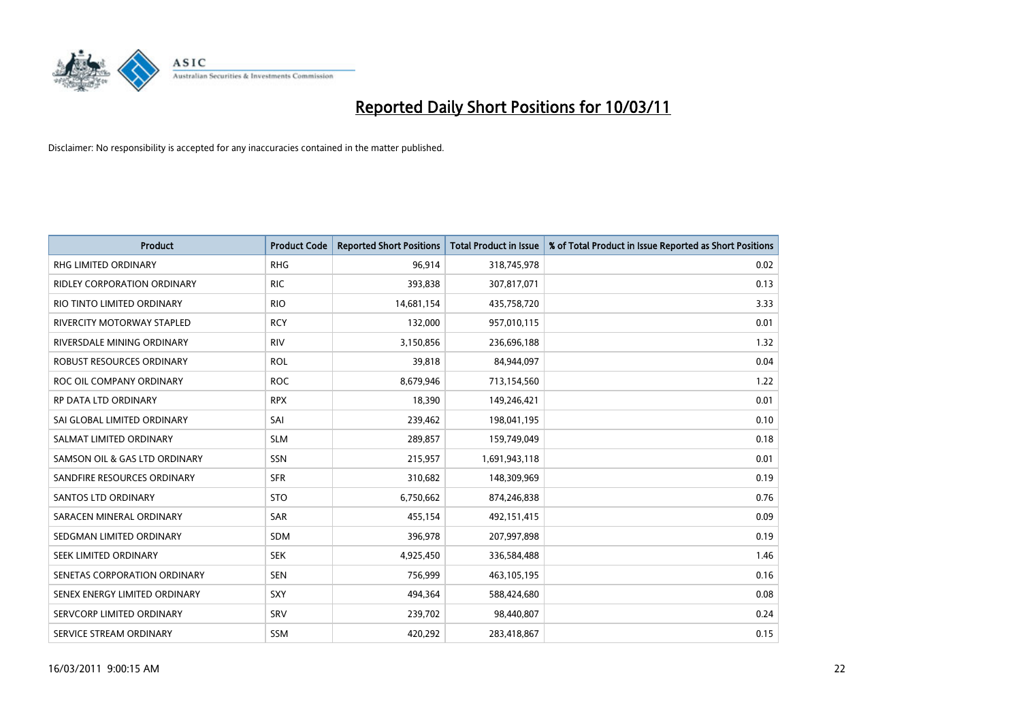

| <b>Product</b>                | <b>Product Code</b> | <b>Reported Short Positions</b> | <b>Total Product in Issue</b> | % of Total Product in Issue Reported as Short Positions |
|-------------------------------|---------------------|---------------------------------|-------------------------------|---------------------------------------------------------|
| <b>RHG LIMITED ORDINARY</b>   | <b>RHG</b>          | 96,914                          | 318,745,978                   | 0.02                                                    |
| RIDLEY CORPORATION ORDINARY   | <b>RIC</b>          | 393,838                         | 307,817,071                   | 0.13                                                    |
| RIO TINTO LIMITED ORDINARY    | <b>RIO</b>          | 14,681,154                      | 435,758,720                   | 3.33                                                    |
| RIVERCITY MOTORWAY STAPLED    | <b>RCY</b>          | 132,000                         | 957,010,115                   | 0.01                                                    |
| RIVERSDALE MINING ORDINARY    | <b>RIV</b>          | 3,150,856                       | 236,696,188                   | 1.32                                                    |
| ROBUST RESOURCES ORDINARY     | <b>ROL</b>          | 39,818                          | 84,944,097                    | 0.04                                                    |
| ROC OIL COMPANY ORDINARY      | <b>ROC</b>          | 8,679,946                       | 713,154,560                   | 1.22                                                    |
| <b>RP DATA LTD ORDINARY</b>   | <b>RPX</b>          | 18,390                          | 149,246,421                   | 0.01                                                    |
| SAI GLOBAL LIMITED ORDINARY   | SAI                 | 239,462                         | 198,041,195                   | 0.10                                                    |
| SALMAT LIMITED ORDINARY       | <b>SLM</b>          | 289,857                         | 159,749,049                   | 0.18                                                    |
| SAMSON OIL & GAS LTD ORDINARY | SSN                 | 215,957                         | 1,691,943,118                 | 0.01                                                    |
| SANDFIRE RESOURCES ORDINARY   | <b>SFR</b>          | 310,682                         | 148,309,969                   | 0.19                                                    |
| <b>SANTOS LTD ORDINARY</b>    | <b>STO</b>          | 6,750,662                       | 874,246,838                   | 0.76                                                    |
| SARACEN MINERAL ORDINARY      | SAR                 | 455,154                         | 492,151,415                   | 0.09                                                    |
| SEDGMAN LIMITED ORDINARY      | <b>SDM</b>          | 396,978                         | 207,997,898                   | 0.19                                                    |
| SEEK LIMITED ORDINARY         | <b>SEK</b>          | 4,925,450                       | 336,584,488                   | 1.46                                                    |
| SENETAS CORPORATION ORDINARY  | <b>SEN</b>          | 756,999                         | 463,105,195                   | 0.16                                                    |
| SENEX ENERGY LIMITED ORDINARY | <b>SXY</b>          | 494,364                         | 588,424,680                   | 0.08                                                    |
| SERVCORP LIMITED ORDINARY     | SRV                 | 239,702                         | 98,440,807                    | 0.24                                                    |
| SERVICE STREAM ORDINARY       | <b>SSM</b>          | 420,292                         | 283,418,867                   | 0.15                                                    |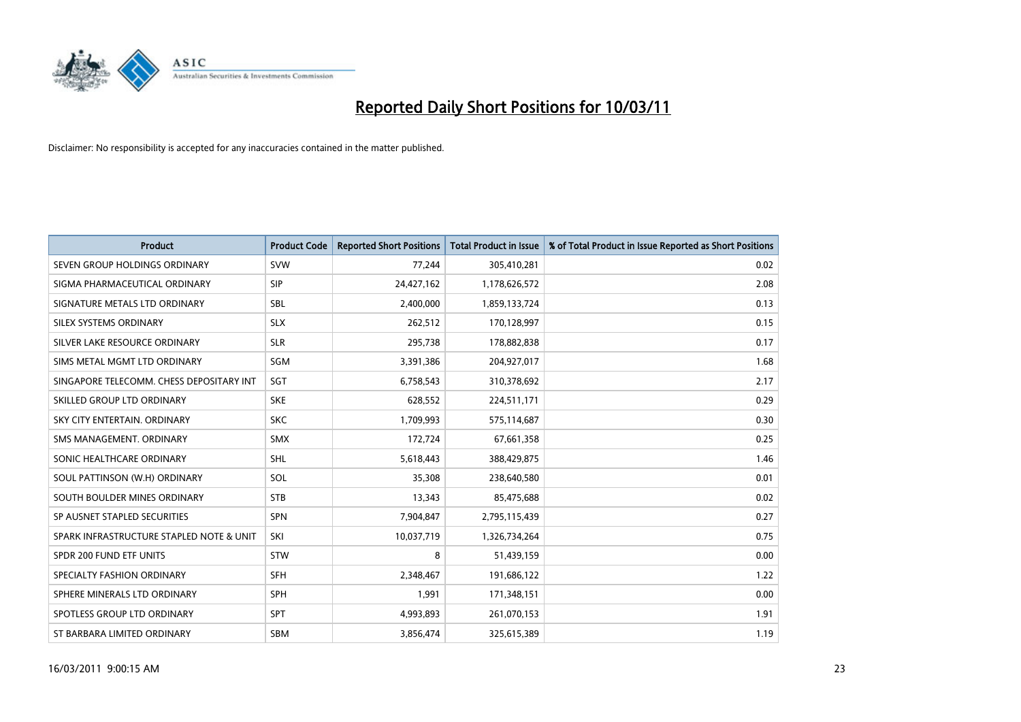

| <b>Product</b>                           | <b>Product Code</b> | <b>Reported Short Positions</b> | <b>Total Product in Issue</b> | % of Total Product in Issue Reported as Short Positions |
|------------------------------------------|---------------------|---------------------------------|-------------------------------|---------------------------------------------------------|
| SEVEN GROUP HOLDINGS ORDINARY            | <b>SVW</b>          | 77,244                          | 305,410,281                   | 0.02                                                    |
| SIGMA PHARMACEUTICAL ORDINARY            | <b>SIP</b>          | 24,427,162                      | 1,178,626,572                 | 2.08                                                    |
| SIGNATURE METALS LTD ORDINARY            | <b>SBL</b>          | 2,400,000                       | 1,859,133,724                 | 0.13                                                    |
| SILEX SYSTEMS ORDINARY                   | <b>SLX</b>          | 262,512                         | 170,128,997                   | 0.15                                                    |
| SILVER LAKE RESOURCE ORDINARY            | <b>SLR</b>          | 295,738                         | 178,882,838                   | 0.17                                                    |
| SIMS METAL MGMT LTD ORDINARY             | SGM                 | 3,391,386                       | 204,927,017                   | 1.68                                                    |
| SINGAPORE TELECOMM. CHESS DEPOSITARY INT | SGT                 | 6,758,543                       | 310,378,692                   | 2.17                                                    |
| SKILLED GROUP LTD ORDINARY               | <b>SKE</b>          | 628,552                         | 224,511,171                   | 0.29                                                    |
| SKY CITY ENTERTAIN. ORDINARY             | <b>SKC</b>          | 1,709,993                       | 575,114,687                   | 0.30                                                    |
| SMS MANAGEMENT, ORDINARY                 | <b>SMX</b>          | 172,724                         | 67,661,358                    | 0.25                                                    |
| SONIC HEALTHCARE ORDINARY                | <b>SHL</b>          | 5,618,443                       | 388,429,875                   | 1.46                                                    |
| SOUL PATTINSON (W.H) ORDINARY            | SOL                 | 35,308                          | 238,640,580                   | 0.01                                                    |
| SOUTH BOULDER MINES ORDINARY             | <b>STB</b>          | 13,343                          | 85,475,688                    | 0.02                                                    |
| SP AUSNET STAPLED SECURITIES             | <b>SPN</b>          | 7,904,847                       | 2,795,115,439                 | 0.27                                                    |
| SPARK INFRASTRUCTURE STAPLED NOTE & UNIT | SKI                 | 10,037,719                      | 1,326,734,264                 | 0.75                                                    |
| SPDR 200 FUND ETF UNITS                  | <b>STW</b>          | 8                               | 51,439,159                    | 0.00                                                    |
| SPECIALTY FASHION ORDINARY               | <b>SFH</b>          | 2,348,467                       | 191,686,122                   | 1.22                                                    |
| SPHERE MINERALS LTD ORDINARY             | <b>SPH</b>          | 1,991                           | 171,348,151                   | 0.00                                                    |
| SPOTLESS GROUP LTD ORDINARY              | <b>SPT</b>          | 4,993,893                       | 261,070,153                   | 1.91                                                    |
| ST BARBARA LIMITED ORDINARY              | <b>SBM</b>          | 3,856,474                       | 325,615,389                   | 1.19                                                    |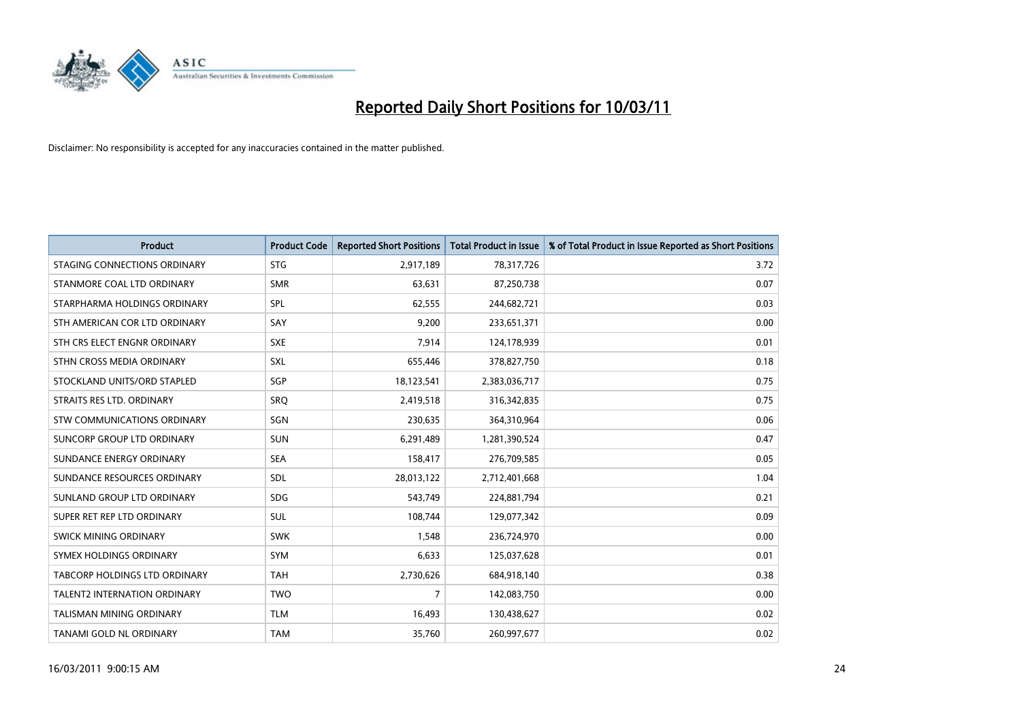

| <b>Product</b>                  | <b>Product Code</b> | <b>Reported Short Positions</b> | Total Product in Issue | % of Total Product in Issue Reported as Short Positions |
|---------------------------------|---------------------|---------------------------------|------------------------|---------------------------------------------------------|
| STAGING CONNECTIONS ORDINARY    | <b>STG</b>          | 2,917,189                       | 78,317,726             | 3.72                                                    |
| STANMORE COAL LTD ORDINARY      | <b>SMR</b>          | 63,631                          | 87,250,738             | 0.07                                                    |
| STARPHARMA HOLDINGS ORDINARY    | SPL                 | 62,555                          | 244,682,721            | 0.03                                                    |
| STH AMERICAN COR LTD ORDINARY   | SAY                 | 9,200                           | 233,651,371            | 0.00                                                    |
| STH CRS ELECT ENGNR ORDINARY    | <b>SXE</b>          | 7,914                           | 124,178,939            | 0.01                                                    |
| STHN CROSS MEDIA ORDINARY       | SXL                 | 655,446                         | 378,827,750            | 0.18                                                    |
| STOCKLAND UNITS/ORD STAPLED     | SGP                 | 18,123,541                      | 2,383,036,717          | 0.75                                                    |
| STRAITS RES LTD. ORDINARY       | SRO                 | 2,419,518                       | 316, 342, 835          | 0.75                                                    |
| STW COMMUNICATIONS ORDINARY     | SGN                 | 230,635                         | 364,310,964            | 0.06                                                    |
| SUNCORP GROUP LTD ORDINARY      | <b>SUN</b>          | 6,291,489                       | 1,281,390,524          | 0.47                                                    |
| SUNDANCE ENERGY ORDINARY        | <b>SEA</b>          | 158,417                         | 276,709,585            | 0.05                                                    |
| SUNDANCE RESOURCES ORDINARY     | SDL                 | 28,013,122                      | 2,712,401,668          | 1.04                                                    |
| SUNLAND GROUP LTD ORDINARY      | <b>SDG</b>          | 543,749                         | 224,881,794            | 0.21                                                    |
| SUPER RET REP LTD ORDINARY      | SUL                 | 108,744                         | 129,077,342            | 0.09                                                    |
| SWICK MINING ORDINARY           | <b>SWK</b>          | 1,548                           | 236,724,970            | 0.00                                                    |
| SYMEX HOLDINGS ORDINARY         | <b>SYM</b>          | 6,633                           | 125,037,628            | 0.01                                                    |
| TABCORP HOLDINGS LTD ORDINARY   | <b>TAH</b>          | 2,730,626                       | 684,918,140            | 0.38                                                    |
| TALENT2 INTERNATION ORDINARY    | <b>TWO</b>          | 7                               | 142,083,750            | 0.00                                                    |
| <b>TALISMAN MINING ORDINARY</b> | <b>TLM</b>          | 16,493                          | 130,438,627            | 0.02                                                    |
| TANAMI GOLD NL ORDINARY         | <b>TAM</b>          | 35,760                          | 260,997,677            | 0.02                                                    |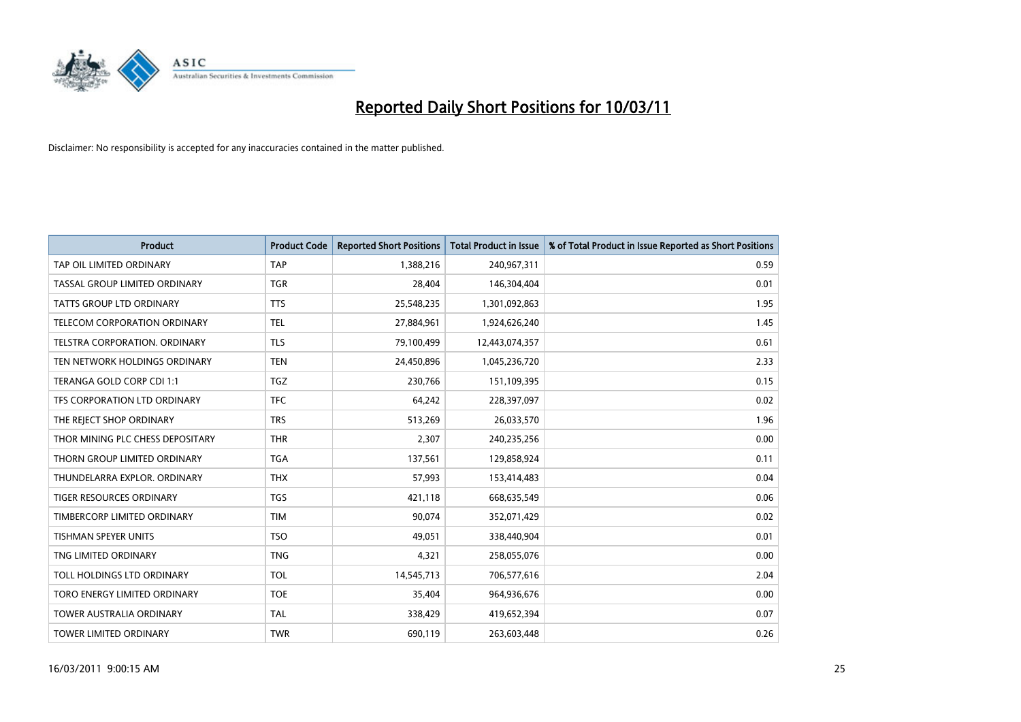

| <b>Product</b>                   | <b>Product Code</b> | <b>Reported Short Positions</b> | <b>Total Product in Issue</b> | % of Total Product in Issue Reported as Short Positions |
|----------------------------------|---------------------|---------------------------------|-------------------------------|---------------------------------------------------------|
| TAP OIL LIMITED ORDINARY         | <b>TAP</b>          | 1,388,216                       | 240,967,311                   | 0.59                                                    |
| TASSAL GROUP LIMITED ORDINARY    | <b>TGR</b>          | 28,404                          | 146,304,404                   | 0.01                                                    |
| <b>TATTS GROUP LTD ORDINARY</b>  | <b>TTS</b>          | 25,548,235                      | 1,301,092,863                 | 1.95                                                    |
| TELECOM CORPORATION ORDINARY     | <b>TEL</b>          | 27,884,961                      | 1,924,626,240                 | 1.45                                                    |
| TELSTRA CORPORATION, ORDINARY    | <b>TLS</b>          | 79,100,499                      | 12,443,074,357                | 0.61                                                    |
| TEN NETWORK HOLDINGS ORDINARY    | <b>TEN</b>          | 24,450,896                      | 1,045,236,720                 | 2.33                                                    |
| TERANGA GOLD CORP CDI 1:1        | <b>TGZ</b>          | 230.766                         | 151,109,395                   | 0.15                                                    |
| TFS CORPORATION LTD ORDINARY     | <b>TFC</b>          | 64,242                          | 228,397,097                   | 0.02                                                    |
| THE REJECT SHOP ORDINARY         | <b>TRS</b>          | 513,269                         | 26,033,570                    | 1.96                                                    |
| THOR MINING PLC CHESS DEPOSITARY | <b>THR</b>          | 2,307                           | 240,235,256                   | 0.00                                                    |
| THORN GROUP LIMITED ORDINARY     | <b>TGA</b>          | 137,561                         | 129,858,924                   | 0.11                                                    |
| THUNDELARRA EXPLOR, ORDINARY     | <b>THX</b>          | 57,993                          | 153,414,483                   | 0.04                                                    |
| <b>TIGER RESOURCES ORDINARY</b>  | <b>TGS</b>          | 421,118                         | 668,635,549                   | 0.06                                                    |
| TIMBERCORP LIMITED ORDINARY      | <b>TIM</b>          | 90,074                          | 352,071,429                   | 0.02                                                    |
| TISHMAN SPEYER UNITS             | <b>TSO</b>          | 49,051                          | 338,440,904                   | 0.01                                                    |
| TNG LIMITED ORDINARY             | <b>TNG</b>          | 4,321                           | 258,055,076                   | 0.00                                                    |
| TOLL HOLDINGS LTD ORDINARY       | <b>TOL</b>          | 14,545,713                      | 706,577,616                   | 2.04                                                    |
| TORO ENERGY LIMITED ORDINARY     | <b>TOE</b>          | 35,404                          | 964,936,676                   | 0.00                                                    |
| <b>TOWER AUSTRALIA ORDINARY</b>  | <b>TAL</b>          | 338,429                         | 419,652,394                   | 0.07                                                    |
| <b>TOWER LIMITED ORDINARY</b>    | <b>TWR</b>          | 690,119                         | 263,603,448                   | 0.26                                                    |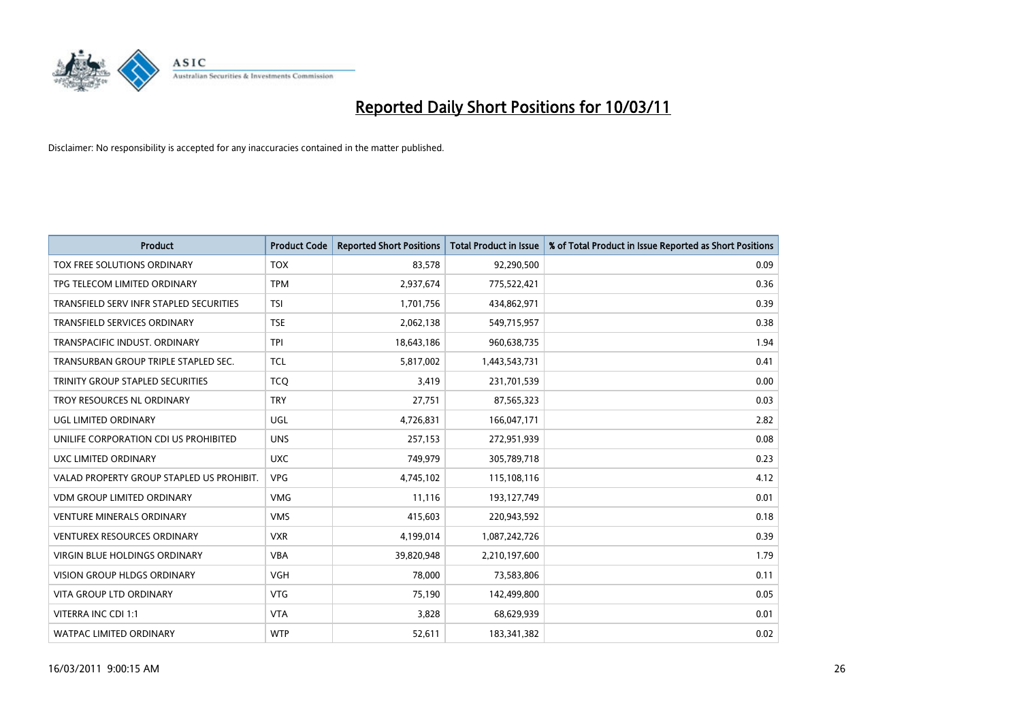

| <b>Product</b>                            | <b>Product Code</b> | <b>Reported Short Positions</b> | <b>Total Product in Issue</b> | % of Total Product in Issue Reported as Short Positions |
|-------------------------------------------|---------------------|---------------------------------|-------------------------------|---------------------------------------------------------|
| TOX FREE SOLUTIONS ORDINARY               | <b>TOX</b>          | 83,578                          | 92,290,500                    | 0.09                                                    |
| TPG TELECOM LIMITED ORDINARY              | <b>TPM</b>          | 2,937,674                       | 775,522,421                   | 0.36                                                    |
| TRANSFIELD SERV INFR STAPLED SECURITIES   | <b>TSI</b>          | 1,701,756                       | 434,862,971                   | 0.39                                                    |
| TRANSFIELD SERVICES ORDINARY              | <b>TSE</b>          | 2,062,138                       | 549,715,957                   | 0.38                                                    |
| TRANSPACIFIC INDUST, ORDINARY             | <b>TPI</b>          | 18,643,186                      | 960,638,735                   | 1.94                                                    |
| TRANSURBAN GROUP TRIPLE STAPLED SEC.      | <b>TCL</b>          | 5,817,002                       | 1,443,543,731                 | 0.41                                                    |
| TRINITY GROUP STAPLED SECURITIES          | <b>TCO</b>          | 3,419                           | 231,701,539                   | 0.00                                                    |
| TROY RESOURCES NL ORDINARY                | <b>TRY</b>          | 27,751                          | 87,565,323                    | 0.03                                                    |
| UGL LIMITED ORDINARY                      | <b>UGL</b>          | 4,726,831                       | 166,047,171                   | 2.82                                                    |
| UNILIFE CORPORATION CDI US PROHIBITED     | <b>UNS</b>          | 257,153                         | 272,951,939                   | 0.08                                                    |
| UXC LIMITED ORDINARY                      | <b>UXC</b>          | 749,979                         | 305,789,718                   | 0.23                                                    |
| VALAD PROPERTY GROUP STAPLED US PROHIBIT. | <b>VPG</b>          | 4,745,102                       | 115,108,116                   | 4.12                                                    |
| VDM GROUP LIMITED ORDINARY                | <b>VMG</b>          | 11,116                          | 193,127,749                   | 0.01                                                    |
| <b>VENTURE MINERALS ORDINARY</b>          | <b>VMS</b>          | 415,603                         | 220,943,592                   | 0.18                                                    |
| <b>VENTUREX RESOURCES ORDINARY</b>        | <b>VXR</b>          | 4,199,014                       | 1,087,242,726                 | 0.39                                                    |
| VIRGIN BLUE HOLDINGS ORDINARY             | <b>VBA</b>          | 39,820,948                      | 2,210,197,600                 | 1.79                                                    |
| VISION GROUP HLDGS ORDINARY               | <b>VGH</b>          | 78,000                          | 73,583,806                    | 0.11                                                    |
| <b>VITA GROUP LTD ORDINARY</b>            | <b>VTG</b>          | 75,190                          | 142,499,800                   | 0.05                                                    |
| VITERRA INC CDI 1:1                       | <b>VTA</b>          | 3,828                           | 68,629,939                    | 0.01                                                    |
| <b>WATPAC LIMITED ORDINARY</b>            | <b>WTP</b>          | 52,611                          | 183,341,382                   | 0.02                                                    |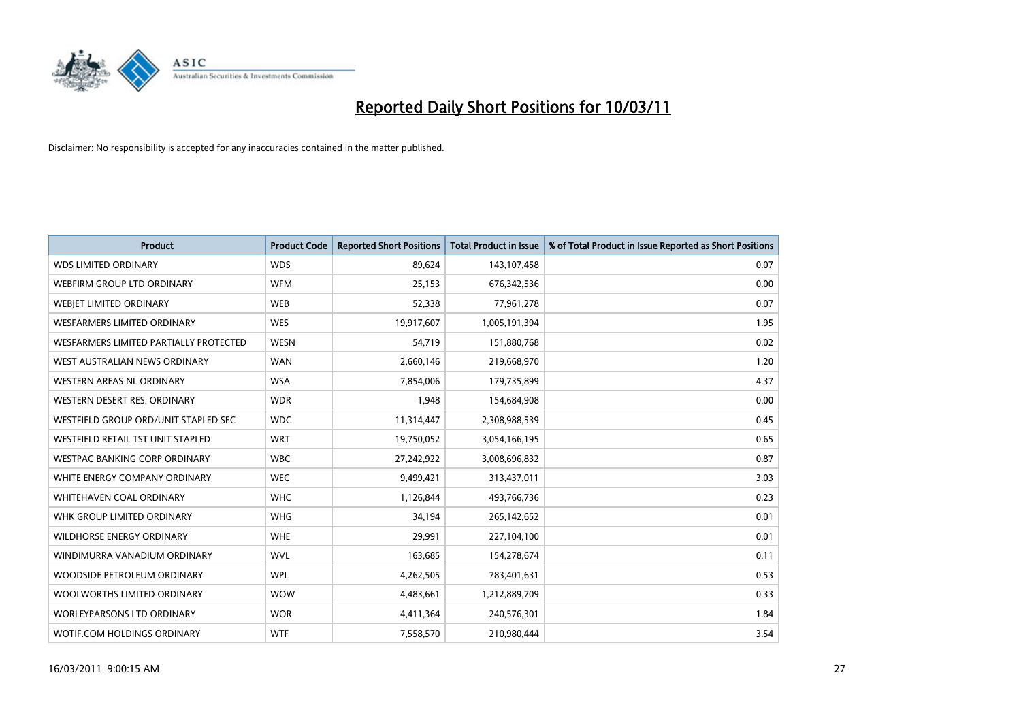

| <b>Product</b>                         | <b>Product Code</b> | <b>Reported Short Positions</b> | <b>Total Product in Issue</b> | % of Total Product in Issue Reported as Short Positions |
|----------------------------------------|---------------------|---------------------------------|-------------------------------|---------------------------------------------------------|
| <b>WDS LIMITED ORDINARY</b>            | <b>WDS</b>          | 89,624                          | 143,107,458                   | 0.07                                                    |
| WEBFIRM GROUP LTD ORDINARY             | <b>WFM</b>          | 25,153                          | 676, 342, 536                 | 0.00                                                    |
| WEBIET LIMITED ORDINARY                | <b>WEB</b>          | 52,338                          | 77,961,278                    | 0.07                                                    |
| <b>WESFARMERS LIMITED ORDINARY</b>     | <b>WES</b>          | 19,917,607                      | 1,005,191,394                 | 1.95                                                    |
| WESFARMERS LIMITED PARTIALLY PROTECTED | <b>WESN</b>         | 54,719                          | 151,880,768                   | 0.02                                                    |
| WEST AUSTRALIAN NEWS ORDINARY          | <b>WAN</b>          | 2,660,146                       | 219,668,970                   | 1.20                                                    |
| WESTERN AREAS NL ORDINARY              | <b>WSA</b>          | 7,854,006                       | 179,735,899                   | 4.37                                                    |
| WESTERN DESERT RES. ORDINARY           | <b>WDR</b>          | 1,948                           | 154,684,908                   | 0.00                                                    |
| WESTFIELD GROUP ORD/UNIT STAPLED SEC   | <b>WDC</b>          | 11,314,447                      | 2,308,988,539                 | 0.45                                                    |
| WESTFIELD RETAIL TST UNIT STAPLED      | <b>WRT</b>          | 19,750,052                      | 3,054,166,195                 | 0.65                                                    |
| WESTPAC BANKING CORP ORDINARY          | <b>WBC</b>          | 27,242,922                      | 3,008,696,832                 | 0.87                                                    |
| WHITE ENERGY COMPANY ORDINARY          | <b>WEC</b>          | 9,499,421                       | 313,437,011                   | 3.03                                                    |
| WHITEHAVEN COAL ORDINARY               | <b>WHC</b>          | 1,126,844                       | 493,766,736                   | 0.23                                                    |
| WHK GROUP LIMITED ORDINARY             | <b>WHG</b>          | 34,194                          | 265,142,652                   | 0.01                                                    |
| <b>WILDHORSE ENERGY ORDINARY</b>       | <b>WHE</b>          | 29,991                          | 227,104,100                   | 0.01                                                    |
| WINDIMURRA VANADIUM ORDINARY           | <b>WVL</b>          | 163,685                         | 154,278,674                   | 0.11                                                    |
| WOODSIDE PETROLEUM ORDINARY            | <b>WPL</b>          | 4,262,505                       | 783,401,631                   | 0.53                                                    |
| WOOLWORTHS LIMITED ORDINARY            | <b>WOW</b>          | 4,483,661                       | 1,212,889,709                 | 0.33                                                    |
| WORLEYPARSONS LTD ORDINARY             | <b>WOR</b>          | 4,411,364                       | 240,576,301                   | 1.84                                                    |
| WOTIF.COM HOLDINGS ORDINARY            | <b>WTF</b>          | 7,558,570                       | 210,980,444                   | 3.54                                                    |